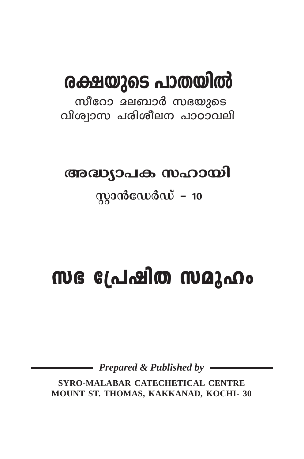# രക്ഷയുടെ പാതയിൽ

സീറോ മലബാർ സഭയുടെ വിശ്വാസ പരിശീലന പാഠാവലി

# അദ്ധ്യാപക സഹായി

# $q$ )  $q$

# സഭ പ്രേഷിത സമുഹം

**Prepared & Published by -**

SYRO-MALABAR CATECHETICAL CENTRE MOUNT ST. THOMAS, KAKKANAD, KOCHI- 30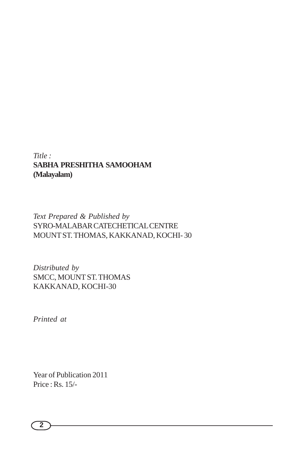#### *Title :* **SABHA PRESHITHA SAMOOHAM (Malayalam)**

#### *Text Prepared & Published by* SYRO-MALABAR CATECHETICAL CENTRE MOUNT ST. THOMAS, KAKKANAD, KOCHI- 30

*Distributed by* SMCC, MOUNT ST. THOMAS KAKKANAD, KOCHI-30

*Printed at*

Year of Publication 2011 Price : Rs. 15/-

$$
\bigcirc
$$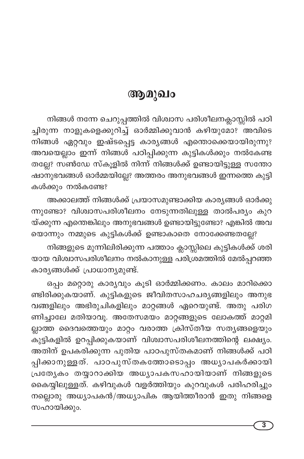# ആമുഖം

നിങ്ങൾ നന്നേ ചെറുപ്പത്തിൽ വിശ്വാസ പരിശീലനക്ലാസ്സിൽ പഠി ച്ചിരുന്ന നാളുകളെക്കുറിച്ച് ഓർമ്മിക്കുവാൻ കഴിയുമോ? അവിടെ നിങ്ങൾ ഏറ്റവും ഇഷ്ടപ്പെട്ട കാര്യങ്ങൾ എന്തൊക്കെയായിരുന്നു? അവയെല്ലാം ഇന്ന് നിങ്ങൾ പഠിപ്പിക്കുന്ന കുട്ടികൾക്കും നൽകേണ്ട തല്ലേ? സൺഡേ സ്കൂളിൽ നിന്ന് നിങ്ങൾക്ക് ഉണ്ടായിട്ടുള്ള സന്തോ ഷാനുഭവങ്ങൾ ഓർമ്മയില്ലേ? അത്തരം അനുഭവങ്ങൾ ഇന്നത്തെ കുട്ടി കൾക്കും നൽകണ്ടേ?

അക്കാലത്ത് നിങ്ങൾക്ക് പ്രയാസമുണ്ടാക്കിയ കാര്യങ്ങൾ ഓർക്കു ന്നുണ്ടോ? വിശ്വാസപരിശീലനം നേടുന്നതിലുള്ള താൽപര്യം കുറ യ്ക്കുന്ന എന്തെങ്കിലും അനുഭവങ്ങൾ ഉണ്ടായിട്ടുണ്ടോ? എങ്കിൽ അവ യൊന്നും നമ്മുടെ കുട്ടികൾക്ക് ഉണ്ടാകാതെ നോക്കേണ്ടതല്ലേ?

നിങ്ങളുടെ മുന്നിലിരിക്കുന്ന പത്താം ക്ലാസ്സിലെ കുട്ടികൾക്ക് ശരി യായ വിശ്വാസപരിശീലനം നൽകാനുള്ള പരിശ്രമത്തിൽ മേൽപ്പറഞ്ഞ കാര്യങ്ങൾക്ക് പ്രാധാന്യമുണ്ട്.

ഒപ്പം മറ്റൊരു കാര്യവും കൂടി ഓർമ്മിക്കണം. കാലം മാറിക്കൊ ണ്ടിരിക്കുകയാണ്. കുട്ടികളുടെ ജീവിതസാഹചര്യങ്ങളിലും അനുഭ വങ്ങളിലും അഭിരുചികളിലും മാറ്റങ്ങൾ ഏറെയുണ്ട്. അതു പരിഗ ണിച്ചാലേ മതിയാവൂ. അതേസമയം മാറ്റങ്ങളുടെ ലോകത്ത് മാറ്റമി ല്ലാത്ത ദൈവത്തെയും മാറ്റം വരാത്ത ക്രിസ്തീയ സത്യങ്ങളെയും കുട്ടികളിൽ ഉറപ്പിക്കുകയാണ് വിശ്വാസപരിശീലനത്തിന്റെ ലക്ഷ്യം. അതിന് ഉപകരിക്കുന്ന പുതിയ പാഠപുസ്തകമാണ് നിങ്ങൾക്ക് പഠി പ്പിക്കാനുള്ളത്. പാഠപുസ്തകത്തോടൊപ്പം അധ്യാപകർക്കായി പ്രത്യേകം തയ്യാറാക്കിയ അധ്യാപകസഹായിയാണ് നിങ്ങളുടെ കൈയ്യിലുള്ളത്. കഴിവുകൾ വളർത്തിയും കുറവുകൾ പരിഹരിച്ചും നല്ലൊരു അധ്യാപകൻ/അധ്യാപിക ആയിത്തീരാൻ ഇതു നിങ്ങളെ സഹായിക്കും.

3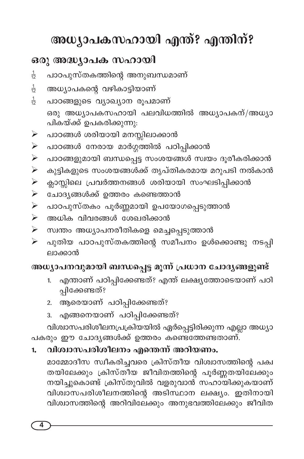# അധ്യാപകസഹായി എന്ത്? എന്തിന്?

# ഒരു അദ്ധ്യാപക സഹായി

- പാഠപുസ്തകത്തിന്റെ അനുബന്ധമാണ്  $\frac{1}{12}$
- അധ്യാപകന്റെ വഴികാട്ടിയാണ്  $\frac{1}{12}$
- $\frac{1}{12}$ പാഠങ്ങളുടെ വ്യാഖ്യാന രൂപമാണ് ഒരു അധ്യാപകസഹായി പലവിധത്തിൽ അധ്യാപകന്/അധ്യാ പികയ്ക്ക് ഉപകരിക്കുന്നു.
- പാഠങ്ങൾ ശരിയായി മനസ്സിലാക്കാൻ ➤
- പാഠങ്ങൾ നേരായ മാർഗ്ഗത്തിൽ പഠിപ്പിക്കാൻ  $\blacktriangleright$
- പാഠങ്ങളുമായി ബന്ധപ്പെട്ട സംശയങ്ങൾ സ്വയം ദൂരീകരിക്കാൻ  $\blacktriangleright$
- കുട്ടികളുടെ സംശയങ്ങൾക്ക് തൃപ്തികരമായ മറുപടി നൽകാൻ  $\blacktriangleright$
- ക്ലാസ്സിലെ പ്രവർത്തനങ്ങൾ ശരിയായി സംഘടിപ്പിക്കാൻ  $\blacktriangleright$
- $\triangleright$  ചോദ്യങ്ങൾക്ക് ഉത്തരം കണ്ടെത്താൻ
- ≻ പാഠപുസ്തകം പൂർണ്ണമായി ഉപയോഗപ്പെടുത്താൻ
- $\triangleright$  അധിക വിവരങ്ങൾ ശേഖരിക്കാൻ
- ≻ സ്വന്തം അധ്യാപനരീതികളെ മെച്ചപ്പെടുത്താൻ
- പുതിയ പാഠപുസ്തകത്തിന്റെ സമീപനം ഉൾക്കൊണ്ടു നടപ്പി  $\blacktriangleright$ ലാക്കാൻ

## അധ്യാപനവുമായി ബന്ധപ്പെട്ട മൂന്ന് പ്രധാന ചോദ്യങ്ങളുണ്ട്

- എന്താണ് പഠിപ്പിക്കേണ്ടത്? എന്ത് ലക്ഷ്യത്തോടെയാണ് പഠി  $1.$ പ്പിക്കേണ്ടത്?
- ആരെയാണ് പഠിപ്പിക്കേണ്ടത്?  $\overline{2}$ .
- എങ്ങനെയാണ് പഠിപ്പിക്കേണ്ടത്? 3.

വിശ്വാസപരിശീലനപ്രക്രിയയിൽ ഏർപ്പെട്ടിരിക്കുന്ന എല്ലാ അധ്യാ പകരും ഈ ചോദൃങ്ങൾക്ക് ഉത്തരം കണ്ടെത്തേണ്ടതാണ്.

#### വിശ്വാസപരിശീലനം എന്തെന്ന് അറിയണം. 1.

മാമ്മോദീസ സ്വീകരിച്ചവരെ ക്രിസ്തീയ വിശ്വാസത്തിന്റെ പക്വ തയിലേക്കും ക്രിസ്തിയ ജീവിതത്തിന്റെ പൂർണ്ണതയിലേക്കും നയിച്ചുകൊണ്ട് ക്രിസ്തുവിൽ വളരുവാൻ സഹായിക്കുകയാണ് വിശാസപരിശീലനത്തിന്റെ അടിസ്ഥാന ലക്ഷ്യം. ഇതിനായി വിശ്വാസത്തിന്റെ അറിവിലേക്കും അനുഭവത്തിലേക്കും ജീവിത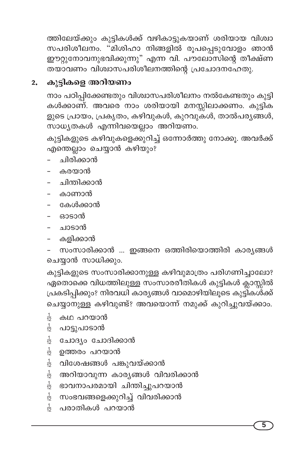ത്തിലേയ്ക്കും കുട്ടികൾക്ക് വഴികാട്ടുകയാണ് ശരിയായ വിശ്വാ ഈറ്റുനോവനുഭവിക്കുന്നു" എന്ന വി. പൗലോസിന്റെ തീക്ഷ്ണ തയാവണം വിശ്വാസപരിശീലനത്തിന്റെ പ്രചോദനഹേതു.

## 2. കുട്ടികളെ അറിയണം

നാം പഠിപ്പിക്കേണ്ടതും വിശ്വാസപരിശീലനം നൽകേണ്ടതും കുട്ടി കൾക്കാണ്. അവരെ നാം ശരിയായി മനസ്സിലാക്കണം. കുട്ടിക ളുടെ പ്രായം, പ്രകൃതം, കഴിവുകൾ, കുറവുകൾ, താൽപരൃങ്ങൾ, സാധ്യതകൾ എന്നിവയെല്ലാം അറിയണം.

കുട്ടികളുടെ കഴിവുകളെക്കുറിച്ച് ഒന്നോർത്തു നോക്കൂ. അവർക്ക് എന്തെല്ലാം ചെയ്യാൻ കഴിയും?

- ചിരിക്കാൻ
- കരയാൻ
- ചിന്തിക്കാൻ
- കാണാൻ
- കേൾക്കാൻ
- ഓടാൻ
- ചാടാൻ
- കളിക്കാൻ

സംസാരിക്കാൻ ... ഇങ്ങനെ ഒത്തിരിയൊത്തിരി കാര്യങ്ങൾ ചെയ്യാൻ സാധിക്കും.

കുട്ടികളുടെ സംസാരിക്കാനുള്ള കഴിവുമാത്രം പരിഗണിച്ചാലോ? ഏതൊക്കെ വിധത്തിലുള്ള സംസാരരീതികൾ കുട്ടികൾ ക്ലാസ്സിൽ പ്രകടിപ്പിക്കും? നിരവധി കാര്യങ്ങൾ വാമൊഴിയിലൂടെ കുട്ടികശ്ക്ക് ചെയ്യാനുള്ള കഴിവുണ്ട്? അവയൊന്ന് നമുക്ക് കുറിച്ചുവയ്ക്കാം.

- $\frac{1}{12}$ കഥ പറയാൻ
- $\frac{1}{12}$ പാട്ടുപാടാൻ
- $\frac{1}{12}$ ചോദ്യം ചോദിക്കാൻ
- $\frac{1}{12}$ ഉത്തരം പറയാൻ
- വിശേഷങ്ങൾ പങ്കുവയ്ക്കാൻ  $\frac{1}{12}$
- $\frac{1}{12}$ അറിയാവുന്ന കാര്യങ്ങൾ വിവരിക്കാൻ
- <del>ു</del> ഭാവനാപരമായി ചിന്തിച്ചുപറയാൻ
- $\frac{1}{12}$  സംഭവങ്ങളെക്കുറിച്ച് വിവരിക്കാൻ
- <del>ം</del> പരാതികൾ പറയാൻ

5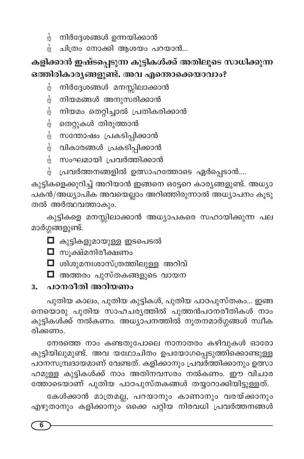- നിർദ്ദേശങ്ങൾ ഉന്നയിക്കാൻ  $\frac{1}{12}$
- ചിത്രം നോക്കി ആശയം പറയാൻ...  $\frac{1}{12}$

# കളിക്കാൻ ഇഷ്ടപ്പെടുന്ന കുട്ടികൾക്ക് അതിലൂടെ സാധിക്കുന്ന ഒത്തിരികാരൃങ്ങളുണ്ട്. അവ എന്തൊക്കെയാവാം?

- നിർദ്ദേശങ്ങൾ മനസ്സിലാക്കാൻ  $\frac{1}{12}$
- നിയമങ്ങൾ അനുസരിക്കാൻ  $\frac{1}{12}$
- നിയമം തെറ്റിച്ചാൽ പ്രതികരിക്കാൻ  $\frac{1}{12}$
- തെറ്റുകൾ തിരുത്താൻ  $\frac{1}{12}$
- $\frac{1}{12}$  സന്തോഷം പ്രകടിപ്പിക്കാൻ
- $\frac{1}{12}$  വികാരങ്ങൾ പ്രകടിപ്പിക്കാൻ
- <del>ു</del> സംഘമായി പ്രവർത്തിക്കാൻ
- പ്രവർത്തനങ്ങളിൽ ഉത്സാഹത്തോടെ ഏർപ്പെടാൻ....

കുട്ടികളെക്കുറിച്ച് അറിയാൻ ഇങ്ങനെ ഒട്ടേറെ കാര്യങ്ങളുണ്ട്. അധ്യാ പകൻ/അധ്യാപിക അവയെല്ലാം അറിഞ്ഞിരുന്നാൽ അധ്യാപനം കൂടു തൽ അർത്ഥവത്താകും.

കുട്ടികളെ മനസ്സിലാക്കാൻ അധ്യാപകരെ സഹായിക്കുന്ന പല മാർഗ്ഗങ്ങളുണ്ട്.

- $\Box$  കുട്ടികളുമായുള്ള ഇടപെടൽ
- ◘ സൂക്ഷ്മനിരീക്ഷണം
- $\Box$  ശിശുമനഃശാസ്ത്രത്തിലുള്ള അറിവ്
- $\Box$  അത്തരം പുസ്തകങ്ങളുടെ വായന

#### പഠനരീതി അറിയണം  $3.$

പുതിയ കാലം, പുതിയ കുട്ടികൾ, പുതിയ പാഠപുസ്തകം... ഇങ്ങ നെയൊരു പുതിയ സാഹചര്യത്തിൽ പുത്തൻപഠനരീതികൾ നാം കുട്ടികൾക്ക് നൽകണം. അധ്യാപനത്തിൽ നൂതനമാർഗ്ഗങ്ങൾ സ്ഥീക രിക്കണം.

നേരത്തെ നാം കണ്ടതുപോലെ നാനാതരം കഴിവുകൾ ഓരോ കുട്ടിയിലുമുണ്ട്. അവ യഥോചിതം ഉപയോഗപ്പെടുത്തിക്കൊണ്ടുള്ള പഠനസമ്പ്രദായമാണ് വേണ്ടത്. കളിക്കാനും പ്രവർത്തിക്കാനും ഉത്സാ ഹമുള്ള കുട്ടികൾക്ക് നാം അതിനവസരം നൽകണം. ഈ വിചാര ത്തോടെയാണ് പുതിയ പാഠപുസ്തകങ്ങൾ തയ്യാറാക്കിയിട്ടുള്ളത്.

കേൾക്കാൻ മാത്രമല്ല, പറയാനും കാണാനും വരയ്ക്കാനും എഴുതാനും കളിക്കാനും<sup>്</sup>ഒക്കെ പറ്റിയ നിരവധി പ്രവർത്തനങ്ങൾ

6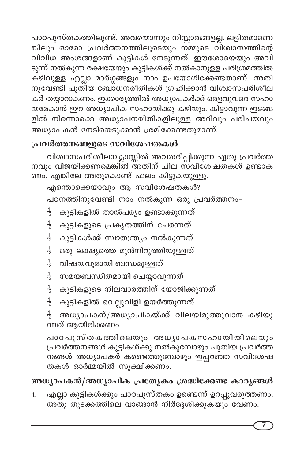പാഠപുസ്തകത്തിലുണ്ട്. അവയൊന്നും നിസ്സാരങ്ങളല്ല. ലളിതമാണെ ങ്കിലും ഓരോ പ്രവർത്തനത്തിലൂടെയും നമ്മുടെ വിശ്വാസത്തിന്റെ വിവിധ അംശങ്ങളാണ് കുട്ടികൾ നേടുന്നത്. ഈശോയെയും അവി ടുന്ന് നൽകുന്ന രക്ഷയേയും കുട്ടികൾക്ക് നൽകാനുള്ള പരിശ്രമത്തിൽ കഴിവുള്ള എല്ലാ മാർഗ്ഗങ്ങളും നാം ഉപയോഗിക്കേണ്ടതാണ്. അതി നുവേണ്ടി പുതിയ ബോധനരീതികൾ ഗ്രഹിക്കാൻ വിശ്വാസപരിശീല കർ തയ്യാറാകണം. ഇക്കാര്യത്തിൽ അധ്യാപകർക്ക് ഒരളവുവരെ സഹാ യമേകാൻ ഈ അധ്യാപിക സഹായിക്കു കഴിയും. കിട്ടാവുന്ന ഇടങ്ങ ളിൽ നിന്നൊക്കെ അധ്യാപനരീതികളിലുള്ള അറിവും പരിചയവും അധ്യാപകൻ നേടിയെടുക്കാൻ ശ്രമിക്കേണ്ടതുമാണ്.

## പ്രവർത്തനങ്ങളുടെ സവിശേഷതകൾ

വിശ്വാസപരിശീലനക്ലാസ്സിൽ അവതരിപ്പിക്കുന്ന ഏതു പ്രവർത്ത നവും വിജയിക്കണമെങ്കിൽ അതിന് ചില സവിശേഷതകൾ ഉണ്ടാക ണം. എങ്കിലേ അതുകൊണ്ട് ഫലം കിട്ടുകയുള്ളൂ.

എന്തൊക്കെയാവും ആ സവിശേഷതകൾ? പഠനത്തിനുവേണ്ടി നാം നൽകുന്ന ഒരു പ്രവർത്തനം-

- കുട്ടികളിൽ താൽപര്യം ഉണ്ടാക്കുന്നത്  $\frac{1}{12}$
- കുട്ടികളുടെ പ്രകൃതത്തിന് ചേർന്നത്  $\frac{1}{12}$
- $\frac{1}{12}$ കുട്ടികൾക്ക് സ്വാതന്ത്ര്യം നൽകുന്നത്
- ഒരു ലക്ഷ്യത്തെ മുൻനിറുത്തിയുള്ളത്  $\frac{1}{12}$
- വിഷയവുമായി ബന്ധമുള്ളത്  $\frac{1}{12}$
- സമയബന്ധിതമായി ചെയ്യാവുന്നത്  $\frac{1}{12}$
- $\frac{1}{12}$ കുട്ടികളുടെ നിലവാരത്തിന് യോജിക്കുന്നത്
- കുട്ടികളിൽ വെല്ലുവിളി ഉയർത്തുന്നത്  $\frac{1}{12}$

അധ്യാപകന്/അധ്യാപികയ്ക്ക് വിലയിരുത്തുവാൻ കഴിയു  $\frac{1}{12}$ ന്നത് ആയിരിക്കണം.

പാഠപുസ്തകത്തിലെയും അധ്യാപകസഹായിയിലെയും പ്രവർത്തനങ്ങൾ കുട്ടികൾക്കു നൽകുമ്പോഴും പുതിയ പ്രവർത്ത നങ്ങൾ അധ്യാപകർ കണ്ടെത്തുമ്പോഴും ഇപ്പറഞ്ഞ സവിശേഷ തകൾ ഓർമ്മയിൽ സൂക്ഷിക്കണം.

# അധ്യാപകൻ/അധ്യാപിക പ്രത്യേകം ശ്രദ്ധിക്കേണ്ട കാര്യങ്ങൾ

എല്ലാ കുട്ടികൾക്കും പാഠപുസ്തകം ഉണ്ടെന്ന് ഉറപ്പുവരുത്തണം. 1. അതു തുടക്കത്തിലെ വാങ്ങാൻ നിർദ്ദേശിക്കുകയും വേണം.

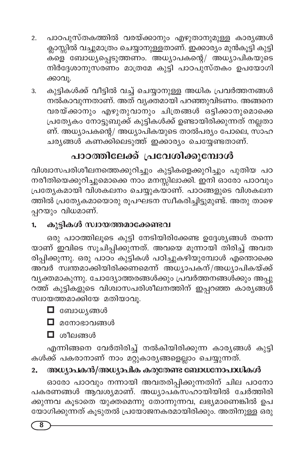- പാഠപുസ്തകത്തിൽ വരയ്ക്കാനും എഴുതാനുമുള്ള കാര്യങ്ങൾ  $\overline{2}$ . ക്ലാസ്സിൽ വച്ചുമാത്രം ചെയ്യാനുള്ളതാണ്. ഇക്കാര്യം മുൻകൂട്ടി കുട്ടി ്ക്കള് ബോധൃപ്പെടുത്തണം. അധ്യാപകന്റെ/ അധ്യാപികയുടെ നിർദ്ദേശാനുസരണം മാത്രമേ കുട്ടി പാഠപുസ്തകം ഉപയോഗി ക്കാവൂ.
- കുട്ടികൾക്ക് വീട്ടിൽ വച്ച് ചെയ്യാനുള്ള അധിക പ്രവർത്തനങ്ങൾ 3. നൽകാവുന്നതാണ്. അത് വ്യക്തമായി പറഞ്ഞുവിടണം. അങ്ങനെ വരയ്ക്കാനും എഴുതുവാനും ചിത്രങ്ങൾ ഒട്ടിക്കാനുമൊക്കെ പ്രത്യേകം നോട്ടുബുക്ക് കുട്ടികൾക്ക് ഉണ്ടായിരിക്കുന്നത് നല്ലതാ ണ്. അധ്യാപകന്റെ/ അധ്യാപികയുടെ താൽപര്യം പോലെ, സാഹ ചര്യങ്ങൾ കണക്കിലെടുത്ത് ഇക്കാര്യം ചെയ്യേണ്ടതാണ്.

# പാഠത്തിലേക്ക് പ്രവേശിക്കുമ്പോൾ

വിശ്വാസപരിശീലനത്തെക്കുറിച്ചും കുട്ടികളെക്കുറിച്ചും പുതിയ പഠ നരീതിയെക്കുറിച്ചുമൊക്കെ നാം മനസ്സിലാക്കി. ഇനി ഓരോ പാഠവും പ്രത്യേകമായി വിശകലനം ചെയ്യുകയാണ്. പാഠങ്ങളുടെ വിശകലന ത്തിൽ പ്രത്യേകമായൊരു രൂപഘടന സ്ഥീകരിച്ചിട്ടുമുണ്ട്. അതു താഴെ പ്പറയും വിധമാണ്.

#### കുട്ടികൾ സ്വായത്തമാക്കേണ്ടവ 1.

ഒരു പാഠത്തിലൂടെ കുട്ടി നേടിയിരിക്കേണ്ട ഉദ്ദേശ്യങ്ങൾ തന്നെ യാണ് ഇവിടെ സൂചിപ്പിക്കുന്നത്. അവയെ മൂന്നായി തിരിച്ച് അവത രിപ്പിക്കുന്നു. ഒരു പാഠം കുട്ടികൾ പഠിച്ചുകഴിയുമ്പോൾ എന്തൊക്കെ അവർ സ്ഥതമാക്കിയിരിക്കണമെന്ന് അധ്യാപകന്/അധ്യാപികയ്ക്ക് വ്യക്തമാകുന്നു. ചോദ്യോത്തരങ്ങൾക്കും പ്രവർത്തനങ്ങൾക്കും അപ്പു റത്ത് കുട്ടികളുടെ വിശ്വാസപരിശീലനത്തിന് ഇപ്പറഞ്ഞ കാര്യങ്ങൾ സ്വായത്തമാക്കിയേ മതിയാവൂ.

 $\blacksquare$  ബോധൃങ്ങൾ

 $\Box$  മനോഭാവങ്ങൾ

 $\Box$  ശീലങ്ങൾ

എന്നിങ്ങനെ വേർതിരിച്ച് നൽകിയിരിക്കുന്ന കാര്യങ്ങൾ കുട്ടി കൾക്ക് പകരാനാണ് നാം മറ്റുകാരൃങ്ങളെല്ലാം ചെയ്യുന്നത്.

#### അധ്യാപകൻ/അധ്യാപിക കരുതേണ്ട ബോധനോപാധികൾ  $2.$

ഓരോ പാഠവും നന്നായി അവതരിപ്പിക്കുന്നതിന് ചില പഠനോ പകരണങ്ങൾ ആവശ്യമാണ്. അധ്യാപക്സഹായിയിൽ ചേർത്തിരി ക്കുന്നവ കൂടാതെ യുക്തമെന്നു തോന്നുന്നവ, ലഭ്യമാണെങ്കിൽ ഉപ യോഗിക്കുന്നത് കൂടുതൽ പ്രയോജനകരമായിരിക്കും. അതിനുള്ള ഒരു

8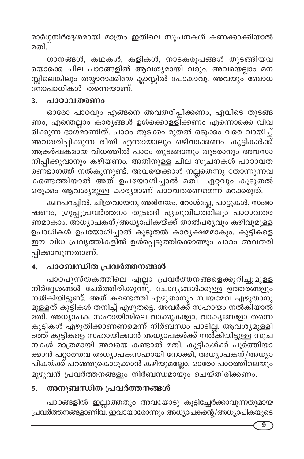മാർഗ്ഗനിർദ്ദേശമായി മാത്രം ഇതിലെ സൂചനകൾ കണക്കാക്കിയാൽ മതി.

ഗാനങ്ങൾ, കഥകൾ, കളികൾ, നാടകരൂപങ്ങൾ തുടങ്ങിയവ യൊക്കെ ചില പാഠങ്ങളിൽ ആവശ്യമായി വരും. അവയെല്ലാം മന സ്സിലെങ്കിലും തയ്യാറാക്കിയേ ക്ലാസ്സിൽ പോകാവൂ. അവയും ബോധ നോപാധികൾ തന്നെയാണ്.

#### പാഠാവതരണം 3.

ഓരോ പാഠവും എങ്ങനെ അവതരിപ്പിക്കണം, എവിടെ തുടങ്ങ ണം, എന്തെല്ലാം കാര്യങ്ങൾ ഉൾക്കൊള്ളിക്കണം എന്നൊക്കെ വിവ രിക്കുന്ന ഭാഗ്മാണിത്. പാഠം തുടക്കം മുതൽ ഒടുക്കം വരെ വായിച്ച് അവതരിപ്പിക്കുന്ന രീതി എന്തായാലും ഒഴിവാക്കണം. കുട്ടികൾക്ക് ആകർഷകമായ വിധത്തിൽ പാഠം തുടങ്ങാനും തുടരാനും അവസാ നിപ്പിക്കുവാനും കഴിയണം. അതിനുള്ള ചില സൂചനകൾ പാഠാവത രണ്ഭാഗത്ത് നൽകുന്നുണ്ട്. അവയെക്കാൾ നല്ലതെന്നു തോന്നുന്നവ കണ്ടെത്തിയാൽ അത് ഉപയോഗിച്ചാൽ മതി. ഏറ്റവും കൂടുതൽ ഒരുക്കം ആവശ്യമുള്ള കാര്യമാണ് പാഠവതരണമെന്ന് മറക്കരുത്.

കഥപറച്ചിൽ, ചിത്രവായന, അഭിനയം, റോൾപ്ലേ, പാട്ടുകൾ, സംഭാ ഷണം, ഗ്രൂപ്പുപ്രവർത്തനം തുടങ്ങി ഏതുവിധത്തിലും പാഠാവതര ണമാകാം. അധ്യാപകന്/അധ്യാപികയ്ക്ക് താൽപര്യവും കഴിവുമുള്ള ഉപാധികൾ ഉപയോഗിച്ചാൽ കൂടുതൽ കാര്യക്ഷമമാകും. കുട്ടികളെ ഈ വിധ പ്രവൃത്തികളിൽ ഉൾപ്പെടുത്തിക്കൊണ്ടും പാഠം അവതരി പ്പിക്കാവുന്നതാണ്.

#### പാഠബന്ധിത പ്രവർത്തനങ്ങൾ 4.

പാഠപുസ്തകത്തിലെ എല്ലാ പ്രവർത്തനങ്ങളെക്കുറിച്ചുമുള്ള നിർദ്ദേശങ്ങൾ ചേർത്തിരിക്കുന്നു. ചോദ്യങ്ങൾക്കുള്ള ഉത്തരങ്ങളും നൽകിയിട്ടുണ്ട്. അത് കണ്ടെത്തി എഴുതാനും സ്വയമേവ എഴുതാനു മുള്ളത് കുട്ടികൾ തനിച്ച് എഴുതട്ടെ. അവർക്ക് സഹായം നൽകിയാൽ മതി. അധ്യാപക സഹായിയിലെ വാക്കുകളോ, വാക്യങ്ങളോ തന്നെ കുട്ടികൾ എഴുതിക്കാണണമെന്ന് നിർബന്ധം പാടില്ല. ആവശ്യമുള്ളി ടത്ത് കുട്ടികളെ സഹായിക്കാൻ അധ്യാപകർക്ക് നൽ്കിയിട്ടുള്ള സൂച നകൾ മാത്രമായി അവയെ കണ്ടാൽ മതി. കുട്ടികൾക്ക് പൂർത്തിയാ ക്കാൻ പറ്റാത്തവ അധ്യാപകസഹായി നോക്കി, അധ്യാപകന്/അധ്യാ പികയ്ക്ക് പറഞ്ഞുകൊടുക്കാൻ കഴിയുമല്ലോ. ഓരോ പാഠത്തിലെയും മുഴുവൻ പ്രവർത്തനങ്ങളും നിർബന്ധമായും ചെയ്തിരിക്കണം.

#### അനുബന്ധിത പ്രവർത്തനങ്ങൾ 5.

പാഠങ്ങളിൽ ഇല്ലാത്തതും അവയോടു കൂട്ടിച്ചേർക്കാവുന്നതുമായ പ്രവർത്തനങ്ങളാണിവ. ഇവയോരോന്നും അധ്യാപകന്റെ/അധ്യാപികയുടെ

9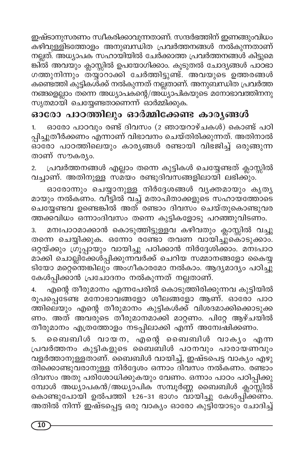ഇഷ്ടാനുസരണം സ്വീകരിക്കാവുന്നതാണ്. സന്ദർഭത്തിന് ഇണങ്ങുംവിധം കഴിവുള്ളിടത്തോളം അനുബന്ധിത പ്രവർത്തനങ്ങൾ നൽകുന്നതാണ് നല്ലത്. അധ്യാപക സഹായിയിൽ ചേർക്കാത്ത പ്രവർത്തനങ്ങൾ കിട്ടുമെ ങ്കിൽ അവയും ക്ലാസ്സിൽ ഉപയോഗിക്കാം. കൂടുതൽ ചോദ്യങ്ങൾ പാഠഭാ ഗത്തുനിന്നും തയ്യാറാക്കി ചേർത്തിട്ടുണ്ട്. അവയുടെ ഉത്തരങ്ങൾ കണ്ടെത്തി കുട്ടികൾക്ക് നൽകുന്നത് നല്ലതാണ്. അനുബന്ധിത പ്രവർത്ത നങ്ങളെല്ലാം തന്നെ അധ്യാപകന്റെ/അധ്യാപികയുടെ മനോഭാവത്തിനനു സൃതമായി ചെയ്യേണ്ടതാണെന്ന് ഓർമ്മിക്കുക.

# ഓരോ പാഠത്തിലും ഓർമ്മിക്കേണ്ട കാരൃങ്ങൾ

ഓരോ പാഠവും രണ്ട് ദിവസം (2 ഞായറാഴ്ചകൾ) കൊണ്ട് പഠി  $1.$ പ്പിച്ചുതീർക്കണം എന്നാണ് വിഭാവനം ചെയ്തിരിക്കുന്നത്. അതിനാൽ ഓരോ പാഠത്തിലെയും കാര്യങ്ങൾ രണ്ടായി വിഭജിച്ച് ഒരുങ്ങുന്ന താണ് സൗകര്യം.

പ്രവർത്തനങ്ങൾ എല്ലാം തന്നെ കുട്ടികൾ ചെയ്യേണ്ടത് ക്ലാസ്സിൽ വച്ചാണ്. അതിനുള്ള സമയം രണ്ടുദിവസങ്ങളിലായി ലഭിക്കും.

ഓരോന്നും ചെയ്യാനുള്ള നിർദ്ദേശങ്ങൾ വ്യക്തമായും കൃത്യ മായും നൽകണം. വിട്ടിൽ വച്ച് മതാപിതാക്കളുടെ സഹായത്തോടെ ചെയ്യേണ്ടവ ഉണ്ടെങ്കിൽ അത് രണ്ടാം ദിവസം ചെയ്തുകൊണ്ടുവര ത്തക്കവിധം ഒന്നാംദിവസം തന്നെ കുട്ടികളോടു പറഞ്ഞുവിടണം.

മനഃപാഠമാക്കാൻ കൊടുത്തിട്ടുള്ളവ കഴിവതും ക്ലാസ്സിൽ വച്ചു 3. തന്നെ ചെയ്യിക്കുക. ഒന്നോ രണ്ടോ തവണ വായിച്ചുകൊടുക്കാം. ഒറ്റയ്ക്കും ഗ്രൂപ്പായും വായിച്ചു പഠിക്കാൻ നിർദ്ദേശിക്കാം. മനഃപാഠ മാക്കി ചൊല്ലിക്കേൾപ്പിക്കുന്നവർക്ക് ചെറിയ സമ്മാനങ്ങളോ കൈയ്യ ടിയോ മറ്റെന്തെങ്കിലും അംഗീകാരമോ നൽകാം. ആദ്യമാദ്യം പഠിച്ചു കേൾപ്പിക്കാൻ പ്രചോദനം നൽകുന്നത് നല്ലതാണ്.

എന്റെ തീരുമാനം എന്നപേരിൽ കൊടുത്തിരിക്കുന്നവ കുട്ടിയിൽ 4. രൂപപ്പെടേണ്ട മനോഭാവങ്ങളോ ശീലങ്ങളോ ആണ്. ഓരോ പാഠ ത്തിലെയും എന്റെ തീരുമാനം കുട്ടികൾക്ക് വിശദമാക്കിക്കൊടുക്ക ണം. അത് അവരുടെ തീരുമാനമാക്കി മാറ്റണം. പിറ്റേ ആഴ്ചയിൽ തീരുമാനം എത്രത്തോളം നടപ്പിലാക്കി എന്ന് അന്വേഷിക്കണം.

ബൈബിൾ വായന, എന്റെ ബൈബിൾ വാക്യം എന്ന 5. പ്രവർത്തനം കുട്ടികളുടെ ബൈബിൾ പഠനവും പാരായണവും വളർത്താനുള്ളതാണ്. ബൈബിൾ വായിച്ച്, ഇഷ്ട്പെട്ട വാക്യം എഴു തിക്കൊണ്ടുവരാനുള്ള നിർദ്ദേശം ഒന്നാം ദിവസം നൽകണം. രണ്ടാം ദിവസം അതു പരിശോധിക്കുകയും വേണം. ഒന്നാം പാഠം പഠിപ്പിക്കു മ്പോൾ അധ്യാപകൻ/അധ്യാപിക സമ്പൂർണ്ണ ബൈബിൾ ക്ലാസ്സിൽ കൊണ്ടുപോയി ഉൽപത്തി 1:26-31 ഭാഗം വായിച്ചു കേൾപ്പിക്കണം. അതിൽ നിന്ന് ഇഷ്ടപ്പെട്ട ഒരു വാക്യം ഓരോ കുട്ടിയോടും ചോദിച്ച്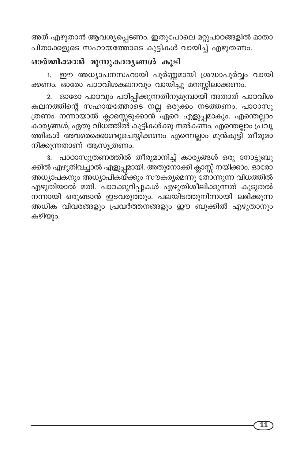അത് എഴുതാൻ ആവശ്യപ്പെടണം. ഇതുപോലെ മറ്റുപാഠങ്ങളിൽ മാതാ പിതാക്കളുടെ സഹായത്തോടെ കുട്ടികൾ വായിച്ച് എഴുതണം.

### ഓർമ്മിക്കാൻ മൂന്നുകാരൃങ്ങൾ കൂടി

1. ഈ അധ്യാപനസഹായി പൂർണ്ണമായി ശ്രദ്ധാപൂർവ്വം വായി ക്കണം. ഓരോ പാഠവിശകലനവും വായി്ച്ചു മനസ്സിലാക്കണം.

ഓരോ പാഠവും പഠിപ്പിക്കുന്നതിനുമുമ്പായി അതാത് പാഠവിശ കലനത്തിന്റെ സഹായത്തോടെ നല്ല ഒരുക്കം നടത്തണം. പാഠാസൂ ത്രണം നന്നായാൽ ക്ലാസ്സെടുക്കാൻ്ഏറെ എളുപ്പമാകും. എന്തെല്ലാം കാര്യങ്ങൾ, ഏതു വിധ്ത്തിൽ കുട്ടികൾക്കു നൽകണം. എന്തെല്ലാം പ്രവൃ ത്തികൾ അവരെക്കൊണ്ടുചെയ്യിക്കണം എന്നെല്ലാം മുൻകൂട്ടി് തീരുമാ നിക്കുന്നതാണ് ആസൂത്രണം.

3. പാഠാസൂത്രണത്തിൽ തീരുമാനിച്ച് കാര്യങ്ങൾ ഒരു നോട്ടുബു ക്കിൽ എഴുതിവച്ചാൽ എളുപ്പമായി. അതുനോക്കി ക്ലാസ്സ് നയിക്കാം. ഓരോ അധ്യാപകനും അധ്യാപികയ്ക്കും സൗകര്യമെന്നു് തോ്ന്നുന്ന വിധത്തിൽ എഴുതിയാൽ മതി. പാഠക്കുറിപ്പുകൾ എഴുതിശീലിക്കുന്നത് കൂടുതൽ നന്നായി ഒരുങ്ങാൻ ഇടവരുത്തും. പലയിടത്തുനിന്നായി ലഭിക്കുന്ന അധിക വിവരങ്ങളും പ്രവർത്തനങ്ങളും ഈ ബുക്കിൽ എഴുതാനും കഴിയും.

11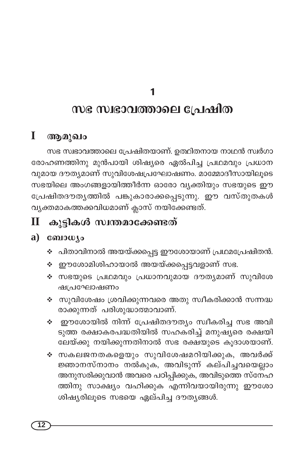# സഭ സ്വഭാവത്താലെ പ്രേഷിത

#### $\bf{I}$ ആമുഖം

സഭ സ്വഭാവത്താലെ പ്രേഷിതയാണ്. ഉത്ഥിതനായ നാഥൻ സ്വർഗാ രോഹണത്തിനു മുൻപായി ശിഷ്യരെ ഏൽപിച്ച പ്രഥമവും പ്രധാന വുമായ ദൗത്യമാണ് സുവിശേഷപ്രഘോഷണം. മാമ്മോദീസായിലൂടെ സഭയിലെ അംഗങ്ങളായിത്തീർന്ന ഓരോ വ്യക്തിയും സഭയുടെ ഈ പ്രേഷിതദൗതൃത്തിൽ പങ്കുകാരാക്കപ്പെടുന്നു. ഈ വസ്തുതകൾ വ്യക്തമാകത്തക്കവിധമാണ് ക്ലാസ് നയിക്കേണ്ടത്.

#### കുട്ടികൾ സ്വന്തമാക്കേണ്ടത്  $\mathbf{I}$

#### a)  $\cos\omega$

- ❖ പിതാവിനാൽ അയയ്ക്കപ്പെട്ട ഈശോയാണ് പ്രഥമപ്രേഷിതൻ.
- ∻ ഈശോമിശിഹായാൽ അയയ്ക്കപ്പെട്ടവളാണ് സഭ.
- ❖ സഭയുടെ പ്രഥമവും പ്രധാനവുമായ ദൗതൃമാണ് സുവിശേ ഷപ്രഘോഷണം
- ❖ സുവിശേഷം ശ്രവിക്കുന്നവരെ അതു സ്വീകരിക്കാൻ സന്നദ്ധ രാക്കുന്നത് പരിശുദ്ധാത്മാവാണ്.
- ∻ ഈശോയിൽ നിന്ന് പ്രേഷിതദൗത്യം സ്വീകരിച്ച സഭ അവി \_\_<br>ടുത്ത രക്ഷാകരപദ്ധതിയിൽ സഹകരിച്ച് മനുഷുരെ രക്ഷയി ലേയ്ക്കു നയിക്കുന്നതിനാൽ സഭ രക്ഷയുടെ കൂദാശയാണ്.
- ∻ സകലജനതകളെയും സുവിശേഷമറിയിക്കുക, അവർക്ക് ജ്ഞാനസ്നാനം നൽകുക, അവിടുന്ന് കല്പിച്ചവയെല്ലാം അനുസരിക്കുവാൻ അവരെ പഠിപ്പിക്കുക, അവിടുത്തെ സ്നേഹ ത്തിനു സാക്ഷ്യം വഹിക്കുക എന്നിവയായിരുന്നു ഈശോ ശിഷ്യരിലൂടെ സഭയെ ഏല്പിച്ച ദൗത്യങ്ങൾ.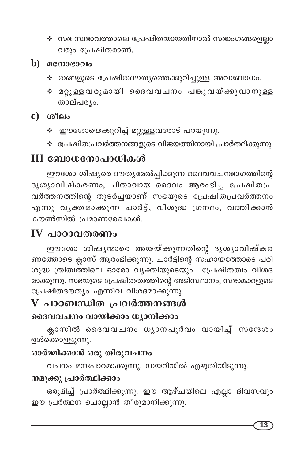- ❖ സഭ സ്വഭാവത്താലെ പ്രേഷിതയായതിനാൽ സഭാംഗങ്ങളെല്ലാ വരും പ്രേഷിതരാണ്.
- $\mathbf b)$  acmosoolo
	- ❖ തങ്ങളുടെ പ്രേഷിതദൗതൃത്തെക്കുറിച്ചുള്ള അവബോധം.
	- ∻ മറ്റുള്ള വരുമായി ദൈവവചനം പങ്കുവയ്ക്കുവാനുള്ള താല്പര്യം.

 $c)$   $\omega$   $\Omega$ 

- ❖ ഈശോയെക്കുറിച്ച് മറ്റുള്ളവരോട് പറയുന്നു.
- ❖ പ്രേഷിതപ്രവർത്തനങ്ങളുടെ വിജയത്തിനായി പ്രാർത്ഥിക്കുന്നു.

# III ബോധനോപാധികൾ

ഈശോ ശിഷ്യരെ ദൗത്യമേൽപ്പിക്കുന്ന ദൈവവചനഭാഗത്തിന്റെ ദൃശ്യാവിഷ്കരണം, പിതാവായ ദൈവം ആരംഭിച്ച പ്രേഷിതപ്ര വർത്തനത്തിന്റെ തുടർച്ചയാണ് സഭയുടെ പ്രേഷിതപ്രവർത്തനം എന്നു വൃക്തമാക്കുന്ന ചാർട്ട്, വിശുദ്ധ ഗ്രന്ഥം, വത്തിക്കാൻ കൗൺസിൽ പ്രമാണരേഖകൾ.

# $IV$  പാഠാവതരണം

ഈശോ ശിഷൃന്മാരെ അയയ്ക്കുന്നതിന്റെ ദൃശൃാവിഷ്കര ണത്തോടെ ക്ലാസ് ആരംഭിക്കുന്നു. ചാർട്ടിന്റെ സഹായത്തോടെ പരി ശുദ്ധ ത്രിത്വത്തിലെ ഓരോ വ്യക്തിയുടെയും പ്രേഷിതത്വം വിശദ മാക്കുന്നു. സഭയുടെ പ്രേഷിതത്വത്തിന്റെ അടിസ്ഥാനം, സഭാമക്കളുടെ പ്രേഷിതദൗത്യം എന്നിവ വിശദമാക്കുന്നു.

# ${\bf V}$  പാഠബന്ധിത പ്രവർത്തനങ്ങൾ ദൈവവചനം വായിക്കാം ധ്യാനിക്കാം

ക്ലാസിൽ ദൈവവചനം ധ്യാനപൂർവം വായിച്ച് സന്ദേശം ഉൾക്കൊള്ളുന്നു.

## ഓർമ്മിക്കാൻ ഒരു തിരുവചനം

വചനം മനഃപാഠമാക്കുന്നു. ഡയറിയിൽ എഴുതിയിടുന്നു.

# നമുക്കു പ്രാർത്ഥിക്കാം

ഒരുമിച്ച് പ്രാർത്ഥിക്കുന്നു. ഈ ആഴ്ചയിലെ എല്ലാ ദിവസവും ഈ പ്രർത്ഥന ചൊല്ലാൻ തീരുമാനിക്കുന്നു.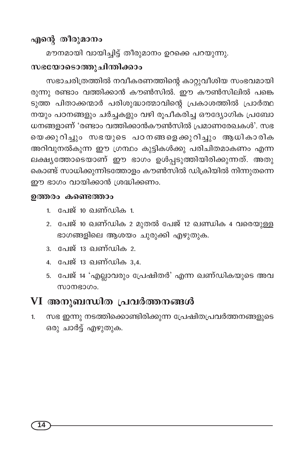## എന്റെ തീരുമാനം

മൗനമായി വായിച്ചിട്ട് തീരുമാനം ഉറക്കെ പറയുന്നു.

# സഭയോടൊത്തുചിന്തിക്കാം

സഭാചരിത്രത്തിൽ നവീകരണത്തിന്റെ കാറ്റുവീശിയ സംഭവമായി രുന്നു രണ്ടാം വത്തിക്കാൻ കൗൺസിൽ. ഈ കൗൺസിലിൽ പങ്കെ ടുത്ത പിതാക്കന്മാർ പരിശുദ്ധാത്മാവിന്റെ പ്രകാശത്തിൽ പ്രാർത്ഥ നയും പഠനങ്ങളും ചർച്ചകളും വഴി രൂപീകരിച്ച ഔദ്യോഗിക പ്രബോ ധനങ്ങളാണ് 'രണ്ടാം വത്തിക്കാൻകൗൺസിൽ പ്രമാണരേഖകൾ'. സഭ യെക്കുറിച്ചും സഭയുടെ പഠനങ്ങളെക്കുറിച്ചും ആധികാരിക അറിവുനൽകുന്ന ഈ ഗ്രന്ഥം കുട്ടികൾക്കു പരിചിതമാകണം എന്ന ലക്ഷ്യത്തോടെയാണ് ഈ ഭാഗം ഉൾപ്പടുത്തിയിരിക്കുന്നത്. അതു കൊണ്ട് സാധിക്കുന്നിടത്തോളം കൗൺസിൽ ഡിക്രിയിൽ നിന്നുതന്നെ ഈ ഭാഗം വായിക്കാൻ ശ്രദ്ധിക്കണം.

#### ഉത്തരം കണ്ടെത്താം

- 1. പേജ് 10 ഖണ്ഡിക 1.
- 2. പേജ് 10 ഖണ്ഡിക 2 മുതൽ പേജ് 12 ഖണ്ഡിക 4 വരെയുള്ള ഭാഗങ്ങളിലെ ആശയം ചുരുക്കി എഴുതുക.
- 3. പേജ് 13 ഖണ്ഡിക 2.
- 4. പേജ് 13 ഖണ്ഡിക 3,4.
- 5. പേജ് 14 'എല്ലാവരും പ്രേഷിതർ' എന്ന ഖണ്ഡികയുടെ അവ സാനഭാഗം.

## VI അനുബന്ധിത പ്രവർത്തനങ്ങൾ

സഭ ഇന്നു നടത്തിക്കൊണ്ടിരിക്കുന്ന പ്രേഷിതപ്രവർത്തനങ്ങളുടെ  $1.$ ഒരു ചാർട്ട് എഴുതുക.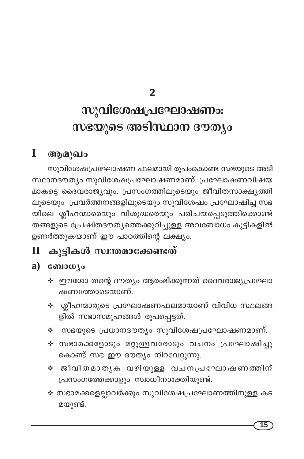$\overline{2}$ 

# സുവിശേഷപ്രഘോഷണം: സഭയുടെ അടിസ്ഥാന ദൗത്യം

#### $\mathbf I$ ആമുഖം

സുവിശേഷപ്രഘോഷണ ഫലമായി രൂപംകൊണ്ട സഭയുടെ അടി സ്ഥാനദൗത്യം സുവിശേഷപ്രഘോഷണമാണ്. പ്രഘോഷണവിഷയ മാകട്ടെ ദൈവരാജ്യവും. പ്രസംഗത്തിലൂടെയും ജീവിതസാക്ഷ്യത്തി ലൂടെയും പ്രവർത്തനങ്ങളിലൂടെയും സുവിശേഷം പ്രഘോഷിച്ച സഭ യിലെ ശ്ലീഹന്മാരെയും വിശുദ്ധരെയും പരിചയപ്പെടുത്തിക്കൊണ്ട് തങ്ങളുടെ പ്രേഷിതദൗത്യത്തെക്കുറിച്ചുള്ള അവബോധം കുട്ടികളിൽ ഉണർത്തുകയാണ് ഈ പാഠത്തിന്റെ ലക്ഷ്യം.

#### കുട്ടികൾ സ്വന്തമാക്കേണ്ടത്  $\mathbf{I}$

## a)  $\cos\omega$

- ❖ ഈശോ തന്റെ ദൗത്യം ആരംഭിക്കുന്നത് ദൈവരാജ്യപ്രഘോ ഷണത്തോടെയാണ്.
- ∻ ശ്ലീഹന്മാരുടെ പ്രഘോഷണഫലമായാണ് വിവിധ സ്ഥലങ്ങ ളിൽ സഭാസമൂഹങ്ങൾ രൂപപ്പെട്ടത്.
- ❖ സഭയുടെ പ്രധാനദൗത്യം സുവിശേഷപ്രഘോഷണമാണ്.
- ❖ സഭാമക്കളോടും മറ്റുള്ളവരോടും വചനം പ്രഘോഷിച്ചു കൊണ്ട് സഭ ഈ ദൗത്യം നിറവേറ്റുന്നു.
- ∻ ജീവിതമാതൃക വഴിയുള്ള വചനപ്രഘോഷണത്തിന് പ്രസംഗത്തേക്കാളും സ്വാധീനശക്തിയുണ്ട്.
- ❖ സഭാമക്കളെല്ലാവർക്കും സുവിശേഷപ്രഘോണത്തിനുള്ള കട മയുണ്ട്.

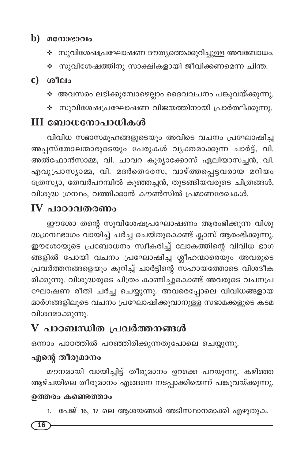## $\mathbf b$ ) മനോഭാവം

- ❖ സുവിശേഷപ്രഘോഷണ ദൗത്യത്തെക്കുറിച്ചുള്ള അവബോധം.
- ❖ സുവിശേഷത്തിനു സാക്ഷികളായി ജീവിക്കണമെന്ന ചിന്ത.

### $c)$  ( $n$ <sup>1 $\rho$ </sup>lo

- ❖ അവസരം ലഭിക്കുമ്പോഴെല്ലാം ദൈവവചനം പങ്കുവയ്ക്കുന്നു.
- ❖ സുവിശേഷപ്രഘോഷണ വിജയത്തിനായി പ്രാർത്ഥിക്കുന്നു.

# III ബോധനോപാധികൾ

വിവിധ സഭാസമൂഹങ്ങളുടെയും അവിടെ വചനം പ്രഘോഷിച്ച അപ്പസ്തോലന്മാരുടെയും പേരുകൾ വ്യക്തമാക്കുന്ന ചാർട്ട്, വി. അൽഫോൻസാമ്മ, വി. ചാവറ കുര്യാക്കോസ് ഏലിയാസച്ചൻ, വി. എവുപ്രാസ്യാമ്മ, വി. മദർതെരേസ, വാഴ്ത്തപ്പെട്ടവരായ മറിയം ത്രേസ്യാ, തേവർപറമ്പിൽ കുഞ്ഞച്ചൻ, തുടങ്ങിയവരുടെ ചിത്രങ്ങൾ, വിശുദ്ധ ഗ്രന്ഥം, വത്തിക്കാൻ കൗൺസിൽ പ്രമാണരേഖകൾ.

# IV പാറാവതരണം

ഈശോ തന്റെ സുവിശേഷപ്രഘോഷണം ആരംഭിക്കുന്ന വിശു ദ്ധഗ്രന്ഥഭാഗം വായിച്ച് ചർച്ച ചെയ്തുകൊണ്ട് ക്ലാസ് ആരംഭിക്കുന്നു. ഈശോയുടെ പ്രബോധനം സ്വീകരിച്ച് ലോകത്തിന്റെ വിവിധ ഭാഗ ങ്ങളിൽ പോയി വചനം പ്രഘോഷിച്ച ശ്ലീഹന്മാരെയും അവരുടെ പ്രവർത്തനങ്ങളെയും കുറിച്ച് ചാർട്ടിന്റെ സഹായത്തോടെ വിശദീക രിക്കുന്നു. വിശുദ്ധരുടെ ചിത്രം കാണിച്ചുകൊണ്ട് അവരുടെ വചനപ്ര ഘോഷണ രീതി ചർച്ച ചെയ്യുന്നു. അവരെപ്പോലെ വിവിധങ്ങളായ മാർഗങ്ങളിലൂടെ വചനം പ്രഘോഷിക്കുവാനുള്ള സഭാമക്കളുടെ കടമ വിശദമാക്കുന്നു.

# ${\bf V}$  പാഠബന്ധിത പ്രവർത്തനങ്ങൾ

ഒന്നാം പാഠത്തിൽ പറഞ്ഞിരിക്കുന്നതുപോലെ ചെയ്യുന്നു.

# എന്റെ തീരുമാനം

മൗനമായി വായിച്ചിട്ട് തീരുമാനം ഉറക്കെ പറയുന്നു. കഴിഞ്ഞ ആഴ്ചയിലെ തീരുമാനം എങ്ങനെ നടപ്പാക്കിയെന്ന് പങ്കുവയ്ക്കുന്നു.

#### ഉത്തരം കണ്ടെത്താം

1. പേജ് 16, 17 ലെ ആശയങ്ങൾ അടിസ്ഥാനമാക്കി എഴുതുക.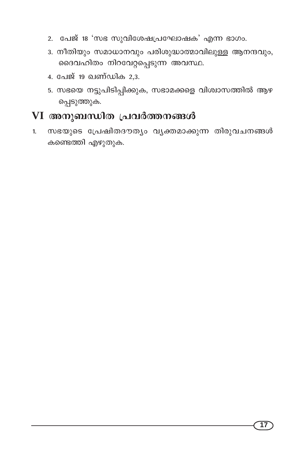- 2. പേജ് 18 'സഭ സുവിശേഷപ്രഘോഷക' എന്ന ഭാഗം.
- 3. നീതിയും സമാധാനവും പരിശുദ്ധാത്മാവിലുള്ള ആനന്ദവും, ദൈവഹിതം നിറവേറ്റപ്പെടുന്ന അവസ്ഥ.
- 4. പേജ് 19 ഖണ്ഡിക 2,3.
- 5. സഭയെ നട്ടുപിടിപ്പിക്കുക, സഭാമക്കളെ വിശ്വാസത്തിൽ ആഴ പ്പെടുത്തുക.

## VI അനുബന്ധിത പ്രവർത്തനങ്ങൾ

സഭയുടെ പ്രേഷിതദൗത്യം വ്യക്തമാക്കുന്ന തിരുവചനങ്ങൾ 1. കണ്ടെത്തി എഴുതുക.

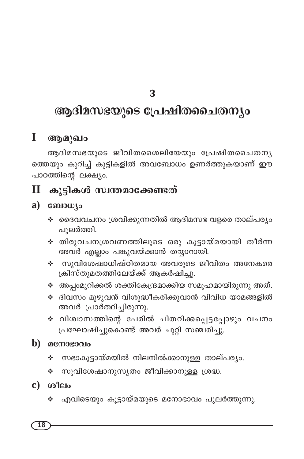# ആദിമസഭയുടെ പ്രേഷിതചൈതന്യം

#### $\mathbf{I}$ ആമുഖം

ആദിമസഭയുടെ ജീവിതശൈലിയേയും പ്രേഷിതചൈതനൃ ത്തെയും കുറിച്ച് കുട്ടികളിൽ അവബോധം ഉണർത്തുകയാണ് ഈ പാഠത്തിന്റെ ലക്ഷ്യം.

#### കുട്ടികൾ സ്വന്തമാക്കേണ്ടത്  $\mathbf{I}$

#### a) consource

- ❖ ദൈവവചനം ശ്രവിക്കുന്നതിൽ ആദിമസഭ വളരെ താല്പര്യം പുലർത്തി.
- ∻ തിരുവചനശ്രവണത്തിലൂടെ ഒരു കൂട്ടായ്മയായി തീർന്ന അവർ എല്ലാം പങ്കുവയ്ക്കാൻ തയ്യാറായി.
- സുവിശേഷാധിഷ്ഠിതമായ അവരുടെ ജീവിതം അനേകരെ A. ക്രിസ്തുമതത്തിലേയ്ക്ക് ആകർഷിച്ചു.
- ❖ അപ്പംമുറിക്കൽ ശക്തികേന്ദ്രമാക്കിയ സമൂഹമായിരുന്നു അത്.
- ❖ ദിവസം മുഴുവൻ വിശുദ്ധീകരിക്കുവാൻ വിവിധ യാമങ്ങളിൽ അവർ പ്രാർത്ഥിച്ചിരുന്നു.
- ∻ വിശ്വാസത്തിന്റെ പേരിൽ ചിതറിക്കപ്പെട്ടപ്പോഴും വചനം പ്രഘോഷിച്ചുകൊണ്ട് അവർ ചുറ്റി സഞ്ചരിച്ചു.

#### $\mathbf{b}$ ) മനോഭാവം

- സഭാകൂട്ടായ്മയിൽ നിലനിൽക്കാനുള്ള താല്പര്യം. ❖
- സുവിശേഷാനുസൃതം ജീവിക്കാനുള്ള ശ്രദ്ധ.
- $c)$   $\omega$   $\omega$ 
	- ❖ എവിടെയും കൂട്ടായ്മയുടെ മനോഭാവം പുലർത്തുന്നു.

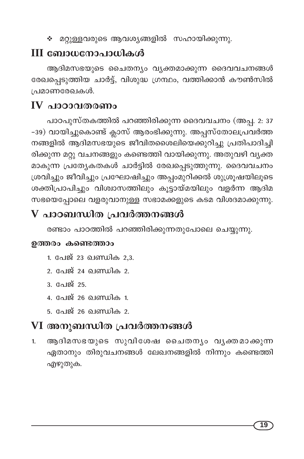∻ മറ്റുള്ളവരുടെ ആവശ്യങ്ങളിൽ സഹായിക്കുന്നു.

# $III$  ബോധനോപാധികൾ

ആദിമസഭയുടെ ചൈതന്യം വ്യക്തമാക്കുന്ന ദൈവവചനങ്ങൾ രേഖപ്പെടുത്തിയ ചാർട്ട്, വിശുദ്ധ ഗ്രന്ഥം, വത്തിക്കാൻ കൗൺസിൽ പ്രമാണരേഖകൾ.

# $\bf{IV}$  പാറാവതരണം

പാഠപുസ്തകത്തിൽ പറഞ്ഞിരിക്കുന്ന ദൈവവചനം (അപ്പ. 2: 37 -39) വായിച്ചുകൊണ്ട് ക്ലാസ് ആരംഭിക്കുന്നു. അപ്പസ്തോലപ്രവർത്ത നങ്ങളിൽ ആദിമസഭയുടെ ജീവിതശൈലിയെക്കുറിച്ചു പ്രതിപാദിച്ചി രിക്കുന്ന മറ്റു വചനങ്ങളും കണ്ടെത്തി വായിക്കുന്നു. അതുവഴി വൃക്ത മാകുന്ന പ്രത്യേകതകൾ ചാർട്ടിൽ രേഖപ്പെടുത്തുന്നു. ദൈവവചനം ശ്രവിച്ചും ജീവിച്ചും പ്രഘോഷിച്ചും അപ്പംമുറിക്കൽ ശുശ്രൂഷയിലൂടെ ശക്തിപ്രാപിച്ചും വിശ്വാസത്തിലും കൂട്ടായ്മയിലും വളർന്ന ആദിമ സഭയെപ്പോലെ വളരുവാനുള്ള സഭാമക്കളുടെ കടമ വിശദമാക്കുന്നു.

# ${\bf V}$  പാഠബന്ധിത പ്രവർത്തനങ്ങൾ

രണ്ടാം പാഠത്തിൽ പറഞ്ഞിരിക്കുന്നതുപോലെ ചെയ്യുന്നു.

### ഉത്തരം കണ്ടെത്താം

- 1. പേജ് 23 ഖണ്ഡിക 2,3.
- 2. പേജ് 24 ഖണ്ഡിക 2.
- 3. പേജ് 25.
- 4. പേജ് 26 ഖണ്ഡിക 1.
- 5. പേജ് 26 ഖണ്ഡിക 2.

# VI അനുബന്ധിത പ്രവർത്തനങ്ങൾ

ആദിമസഭയുടെ സുവിശേഷ ചൈതന്യം വ്യക്തമാക്കുന്ന  $1.$ ഏതാനും തിരുവചനങ്ങൾ ലേഖനങ്ങളിൽ നിന്നും കണ്ടെത്തി എഴുതുക.

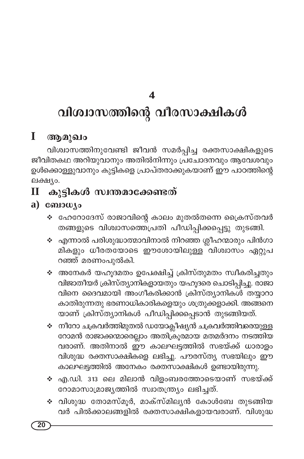## $\overline{\mathbf{A}}$

# വിശ്വാസത്തിന്റെ വീരസാക്ഷികൾ

#### I ആമുഖം

വിശ്വാസത്തിനുവേണ്ടി ജീവൻ സമർപ്പിച്ച രക്തസാക്ഷികളുടെ ജീവിതകഥ അറിയുവാനും അതിൽനിന്നും പ്രഭചാദനവും ആവേശവും ഉൾക്കൊള്ളുവാനും കുട്ടികളെ പ്രാപ്തരാക്കുകയാണ് ഈ പാഠത്തിന്റെ ലക്ഷ്യം.

#### കുട്ടികൾ സ്വന്തമാക്കേണ്ടത് П

### a)  $\cos\omega$

- ❖ ഹേറോദേസ് രാജാവിന്റെ കാലം മുതൽതന്നെ പ്രൈസ്തവർ തങ്ങളുടെ വിശ്വാസത്തെപ്രതി പീഡിപ്പിക്കപ്പെട്ടു തുടങ്ങി.
- ❖ എന്നാൽ പരിശുദ്ധാത്മാവിനാൽ നിറഞ്ഞ ശ്ലീഹന്മാരും പിൻഗാ മികളും ധീരതയോടെ ഈശോയിലുള്ള വിശ്വാസം ഏറ്റുപ റഞ്ഞ് മരണംപുൽകി.
- ❖ അനേകർ യഹൂദമതം ഉപേക്ഷിച്ച് ക്രിസ്തുമതം സ്വീകരിച്ചതും വിജാതീയർ ക്രിസ്ത്യാനികളായതും യഹൂദരെ ചൊടിപ്പിച്ചു. രാജാ വിനെ ദൈവമായി അംഗീകരിക്കാൻ ക്രിസ്ത്യാനികൾ തയ്യാറാ കാതിരുന്നതു ഭരണാധികാരികളെയും ശത്രുക്കളാക്കി. അങ്ങനെ യാണ് ക്രിസ്ത്യാനികൾ പീഡിപ്പിക്കപ്പെടാൻ തുടങ്ങിയത്.
- ❖ നീറോ ചക്രവർത്തിമുതൽ ഡയോക്ലീഷ്യൻ ചക്രവർത്തിവരെയുള്ള റോമൻ രാജാക്കന്മാരെല്ലാം അതിക്രൂരമായ മതമർദനം നടത്തിയ വരാണ്. അതിനാൽ ഈ കാലഘട്ടത്തിൽ സഭയ്ക്ക് ധാരാളം വിശുദ്ധ രക്തസാക്ഷികളെ ലഭിച്ചു. പൗരസ്ത്യ സഭയിലും ഈ കാലഘട്ടത്തിൽ അനേകം രക്തസാക്ഷികൾ ഉണ്ടായിരുന്നു.
- ❖ എ.ഡി. 313 ലെ മിലാൻ വിളംബരത്തോടെയാണ് സഭയ്ക്ക് റോമാസാമ്രാജ്യത്തിൽ സ്വാതന്ത്ര്യം ലഭിച്ചത്.
- ❖ വിശുദ്ധ തോമസ്മൂർ, മാക്സ്മില്യൻ കോൾബേ തുടങ്ങിയ വർ പിൽക്കാലങ്ങളിൽ രക്തസാക്ഷികളായവരാണ്. വിശുദ്ധ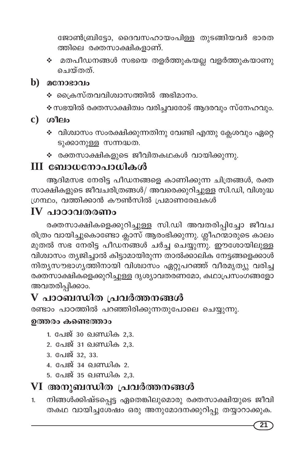ജോൺബ്രിട്ടോ, ദൈവസഹായംപിള്ള തുടങ്ങിയവർ ഭാരത ത്തിലെ രക്തസാക്ഷികളാണ്.

❖ മതപീഡനങ്ങൾ സഭയെ തളർത്തുകയല്ല വളർത്തുകയാണു ചെയ്തത്.

#### $\mathbf b$ ) മനോഭാവം

∻ ക്രൈസ്തവവിശ്വാസത്തിൽ അഭിമാനം.

∻ സഭയിൽ രക്തസാക്ഷിത്വം വരിച്ചവരോട് ആദരവും സ്നേഹവും.

- $c)$  ശീലം
	- ❖ വിശ്വാസം സംരക്ഷിക്കുന്നതിനു വേണ്ടി എന്തു ക്ലേശവും ഏറ്റെ ടുക്കാനുള്ള സന്നദ്ധത.
	- ❖ രക്തസാക്ഷികളുടെ ജീവിതകഥകൾ വായിക്കുന്നു.

# III ബോധനോപാധികൾ

ആദിമസഭ നേരിട്ട പീഡനങ്ങളെ കാണിക്കുന്ന ചിത്രങ്ങൾ, രക്ത സാക്ഷികളുടെ ജീവചരിത്രങ്ങൾ/ അവരെക്കുറിച്ചുള്ള സി.ഡി, വിശുദ്ധ ഗ്രന്ഥം, വത്തിക്കാൻ കൗൺസിൽ പ്രമാണരേഖകൾ

## $IV$  പാഠാവതരണം

രക്തസാക്ഷികളെക്കുറിച്ചുള്ള സി.ഡി അവതരിപ്പിച്ചോ ജീവച രിത്രം വായിച്ചുകൊണ്ടോ ക്ലാസ് ആരംഭിക്കുന്നു. ശ്ലീഹന്മാരുടെ കാലം മുതൽ സഭ നേരിട്ട പീഡന്ങ്ങൾ ചർച്ച ചെയ്യുന്നു. ഈശോയിലുള്ള വിശ്വാസം ത്യജിച്ചാൽ കിട്ടാമായിരുന്ന താൽക്കാലിക നേട്ടങ്ങളെക്കാൾ നിത്യസൗഭാഗ്യത്തിനായി വിശ്വാസം ഏറ്റുപറഞ്ഞ് വീരമൃത്യു വരിച്ച രക്തസാക്ഷികളെക്കുറിച്ചുള്ള ദൃശ്യാവതരണമോ, കഥാപ്രസംഗങ്ങളോ അവതരിപ്പിക്കാം.

# ${\bf V}$  പാഠബന്ധിത പ്രവർത്തനങ്ങൾ

രണ്ടാം പാഠത്തിൽ പറഞ്ഞിരിക്കുന്നതുപോലെ ചെയ്യുന്നു.

#### ഉത്തരം കണ്ടെത്താം

- 1. പേജ് 30 ഖണ്ഡിക 2,3.
- 2. പേജ് 31 ഖണ്ഡിക 2,3.
- 3. പേജ് 32, 33.
- 4. പേജ് 34 ഖണ്ഡിക 2.
- 5. പേജ് 35 ഖണ്ഡിക 2,3.

# VI അനുബന്ധിത പ്രവർത്തനങ്ങൾ

നിങ്ങൾക്കിഷ്ടപ്പെട്ട ഏതെങ്കിലുമൊരു രക്തസാക്ഷിയുടെ ജീവി  $1<sub>1</sub>$ തകഥ വായിച്ചശേഷം ഒരു അനുമോദനക്കുറിപ്പു തയ്യാറാക്കുക.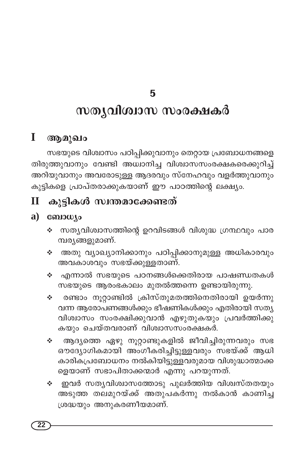# സതൃവിശ്വാസ സംരക്ഷകർ

#### I ആമുഖം

സഭയുടെ വിശ്വാസം പഠിപ്പിക്കുവാനും തെറ്റായ പ്രബോധനങ്ങളെ തിരുത്തുവാനും വേണ്ടി അധ്വാനിച്ച വിശ്വാസസംരക്ഷകരെക്കുറിച്ച് അറിയുവാനും അവരോടുള്ള ആദരവും സ്നേഹവും വളർത്തുവാനും കുട്ടികളെ പ്രാപ്തരാക്കുകയാണ് ഈ പാഠത്തിന്റെ ലക്ഷ്യം.

#### കുട്ടികൾ സ്വന്തമാക്കേണ്ടത്  $\mathbf H$

#### ബോധ്യം a)

- ❖ സതൃവിശ്വാസത്തിന്റെ ഉറവിടങ്ങൾ വിശുദ്ധ ഗ്രന്ഥവും പാര മ്പര്യങ്ങളുമാണ്.
- അതു വ്യാഖ്യാനിക്കാനും പഠിപ്പിക്കാനുമുള്ള അധികാരവും ÷. അവകാശവും സഭയ്ക്കുള്ളതാണ്.
- എന്നാൽ സഭയുടെ പഠനങ്ങൾക്കെതിരായ പാഷണ്ഡതകൾ ÷. സഭയുടെ ആരംഭകാലം മുതൽത്തന്നെ ഉണ്ടായിരുന്നു.
- രണ്ടാം നൂറ്റാണ്ടിൽ ക്രിസ്തുമതത്തിനെതിരായി ഉയർന്നു ÷ വന്ന ആരോപണങ്ങൾക്കും ഭീഷണികൾക്കും എതിരായി സതൃ വിശ്വാസം സംരക്ഷിക്കുവാൻ എഴുതുകയും പ്രവർത്തിക്കു കയും ചെയ്തവരാണ് വിശ്വാസസംരക്ഷകർ.
- ആദ്യത്തെ ഏഴു നൂറ്റാണ്ടുകളിൽ ജീവിച്ചിരുന്നവരും സഭ <br → ഔദ്യോഗികമായി അംഗീകരിച്ചിട്ടുള്ളവരും സഭയ്ക്ക് ആധി കാരികപ്രബോധനം നൽകിയിട്ടുള്ളവരുമായ വിശുദ്ധാത്മാക്ക ളെയാണ് സഭാപിതാക്കന്മാർ എന്നു പറയുന്നത്.
- ❖ ഇവർ സതൃവിശ്വാസത്തോടു പുലർത്തിയ വിശ്വസ്തതയും അടുത്ത തലമുറയ്ക്ക് അതുപകർന്നു നൽകാൻ കാണിച്ച ശ്രദ്ധയും അനുകരണീയമാണ്.

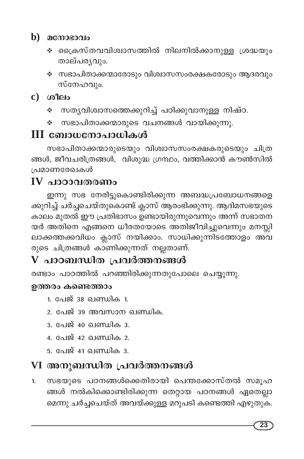## $\mathbf b$ ) മനോഭാവം

- ∻ ക്രൈസ്തവവിശ്വാസത്തിൽ നിലനിൽക്കാനുള്ള ശ്രദ്ധയും താല്പര്യവും.
- ❖ സഭാപിതാക്കന്മാരോടും വിശ്വാസസംരക്ഷകരോടും ആദരവും സ്നേഹവും.

## $c)$  ശീലം

- ∻ സതൃവിശ്വാസത്തെക്കുറിച്ച് പഠിക്കുവാനുള്ള നിഷ്ഠ.
- സഭാപിതാക്കന്മാരുടെ വചനങ്ങൾ വായിക്കുന്നു. ÷

# **III ബോധനോപാധികൾ**

സഭാപിതാക്കന്മാരുടെയും വിശ്വാസസംരക്ഷകരുടെയും ചിത്ര ങ്ങൾ, ജീവചരിത്രങ്ങൾ, വിശുദ്ധ ഗ്രന്ഥം, വത്തിക്കാൻ കൗൺസിൽ പ്രമാണരേഖകൾ

# $IV$  പാറാവതരണം

ഇന്നു സഭ നേരിട്ടുകൊണ്ടിരിക്കുന്ന അബദ്ധപ്രബോധനങ്ങളെ ക്കുറിച്ച് ചർച്ചചെയ്തുകൊണ്ട് ക്ലാസ് ആരംഭിക്കുന്നു. ആദിമസഭയുടെ കാലം മുതൽ ഈ പ്രതിഭാസം ഉണ്ടായിരുന്നുവെന്നും അന്ന് സഭാതന യർ അതിനെ എങ്ങനെ ധീരതയോടെ അതിജീവിച്ചുവെന്നും മനസ്സി ലാക്കത്തക്കവിധം ക്ലാസ് നയിക്കാം. സാധിക്കുന്നിടത്തോളം അവ രുടെ ചിത്രങ്ങൾ കാണിക്കുന്നത് നല്ലതാണ്.

# ${\bf V}$  പാഠബന്ധിത പ്രവർത്തനങ്ങൾ

രണ്ടാം പാഠത്തിൽ പറഞ്ഞിരിക്കുന്നതുപോലെ ചെയ്യുന്നു.

#### ഉത്തരം കണ്ടെത്താം

- 1. പേജ് 38 ഖണ്ഡിക 1.
- 2. പേജ് 39 അവസാന ഖണ്ഡിക.
- 3. പേജ് 40 **ഖണ്ഡിക** 3.
- 4. പേജ് 42 ഖണ്ഡിക 2.
- <u>5. പേജ് 41 ഖണ്ഡിക 3.</u>

# VI അനുബന്ധിത പ്രവർത്തനങ്ങൾ

സഭയുടെ പഠനങ്ങൾക്കെതിരായി പെന്തക്കോസ്തൽ സമൂഹ 1. ങ്ങൾ നൽകിക്കൊണ്ടിരിക്കുന്ന തെറ്റായ പഠനങ്ങൾ ഏതെല്ലാ മെന്നു ചർച്ചചെയ്ത് അവയ്ക്കുള്ള മറുപടി കണ്ടെത്തി എഴുതുക.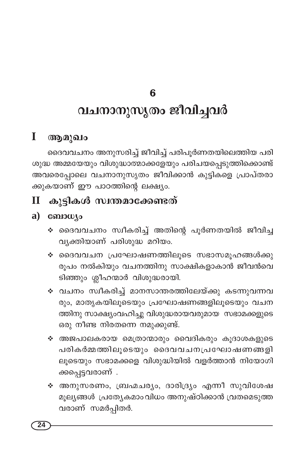# വചനാനുസൃതം ജീവിച്ചവർ

#### $\mathbf{I}$ ആമുഖം

ദൈവവചനം അനുസരിച്ച് ജീവിച്ച് പരിപൂർണതയിലെത്തിയ പരി ശുദ്ധ അമ്മയേയും വിശുദ്ധാത്മാക്കളേയും പരിചയപ്പെടുത്തിക്കൊണ്ട് അവരെപ്പോലെ വചനാനുസൃതം ജീവിക്കാൻ കുട്ടികളെ പ്രാപ്തരാ ക്കുകയാണ് ഈ പാഠത്തിന്റെ ലക്ഷ്യം.

#### കൂട്ടികൾ സ്വന്തമാക്കേണ്ടത്  $\mathbf{I}$

#### $a)$  consumed  $a$

- ∻ ദൈവവചനം സ്വീകരിച്ച് അതിന്റെ പൂർണതയിൽ ജീവിച്ച വ്യക്തിയാണ് പരിശുദ്ധ മറിയം.
- ∻ ദൈവവചന പ്രഘോഷണത്തിലൂടെ സഭാസമൂഹങ്ങൾക്കു രൂപം നൽകിയും വചനത്തിനു സാക്ഷികളാകാൻ ജീവൻവെ ടിഞ്ഞും ശ്ലീഹന്മാർ വിശുദ്ധരായി.
- ∻ വചനം സ്വീകരിച്ച് മാനസാന്തരത്തിലേയ്ക്കു കടന്നുവന്നവ രും, മാതൃകയിലൂടെയും പ്രഘോഷണങ്ങളിലൂടെയും വചന ത്തിനു സാക്ഷ്യംവഹിച്ചു വിശുദ്ധരായവരുമായ സഭാമക്കളുടെ ഒരു നീണ്ട നിരതന്നെ നമുക്കുണ്ട്.
- ∻ അജപാലകരായ മെത്രാന്മാരും വൈദികരും കൂദാശകളുടെ പരികർമ്മത്തിലൂടെയും ദൈവവചനപ്രഘോഷണങ്ങളി ലൂടെയും സഭാമക്കളെ വിശുദ്ധിയിൽ വളർത്താൻ നിയോഗി ക്കപ്പെട്ടവരാണ്.
- ❖ അനുസരണം, ബ്രഹ്മചര്യം, ദാരിദ്ര്യം എന്നീ സുവിശേഷ മൂല്യങ്ങൾ പ്രത്യേകമാംവിധം അനുഷ്ഠിക്കാൻ വ്രതമെടുത്ത വരാണ് സമർപ്പിതർ.

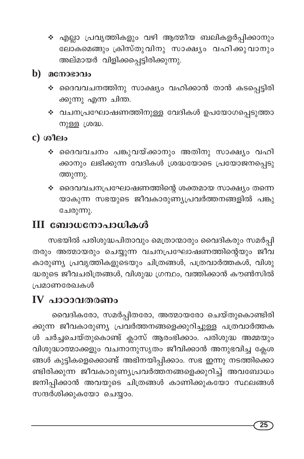❖ എല്ലാ പ്രവൃത്തികളും വഴി ആത്മീയ ബലികളർപ്പിക്കാനും .<br>ലോകമെങ്ങും ക്രിസ്തുവിനു സാക്ഷ്യം വഹിക്കുവാനും അല്മായർ വിളിക്കപ്പെട്ടിരിക്കുന്നു.

### $\mathbf{b})$  acmosono

- ∻ ദൈവവചനത്തിനു സാക്ഷ്യം വഹിക്കാൻ താൻ കടപ്പെട്ടിരി ക്കുന്നു എന്ന ചിന്ത.
- ❖ വചനപ്രഘോഷണത്തിനുള്ള വേദികൾ ഉപയോഗപ്പെടുത്താ നുള്ള ശ്രദ്ധ.

## $c)$  ശീലം

- ∻ ദൈവവചനം പങ്കുവയ്ക്കാനും അതിനു സാക്ഷ്യം വഹി ക്കാനും ലഭിക്കുന്ന വേദികൾ ശ്രദ്ധയോടെ പ്രയോജനപ്പെടു ത്തുന്നു.
- ❖ ദൈവവചനപ്രഘോഷണത്തിന്റെ ശക്തമായ സാക്ഷ്യം തന്നെ യാകുന്ന സഭയുടെ ജീവകാരുണ്യപ്രവർത്തനങ്ങളിൽ പങ്കു ചേരുന്നു.

# III ബോധനോപാധികൾ

സഭയിൽ പരിശുദ്ധപിതാവും മെത്രാന്മാരും വൈദികരും സമർപ്പി തരും അത്മായരും ചെയ്യുന്ന വചനപ്രഘോഷണത്തിന്റെയും ജീവ കാരുണ്യ പ്രവൃത്തികളുടെയും ചിത്രങ്ങൾ, പത്രവാർത്തകൾ, വിശു ദ്ധരുടെ ജീവചരിത്രങ്ങൾ, വിശുദ്ധ ഗ്രന്ഥം, വത്തിക്കാൻ കൗൺസിൽ പ്രമാണരേഖകൾ

# $IV$  പാഠാവതരണം

വൈദികരോ, സമർപ്പിതരോ, അത്മായരോ ചെയ്തുകൊണ്ടിരി ക്കുന്ന ജീവകാരുണ്യ പ്രവർത്തനങ്ങളെക്കുറിച്ചുള്ള പത്രവാർത്തക ൾ ചർച്ചചെയ്തുകൊണ്ട് ക്ലാസ് ആരംഭിക്കാം. പരിശുദ്ധ അമ്മയും വിശുദ്ധാത്മാക്കളും വചനാനുസൃതം ജീവിക്കാൻ അനുഭവിച്ച ക്ലേശ ങ്ങൾ കുട്ടികളെക്കൊണ്ട് അഭിനയിപ്പിക്കാം. സഭ ഇന്നു നടത്തിക്കൊ ണ്ടിരിക്കുന്ന ജീവകാരുണ്യപ്രവർത്തനങ്ങളെക്കുറിച്ച് അവബോധം ജനിപ്പിക്കാൻ അവയുടെ ചിത്രങ്ങൾ കാണിക്കുകയോ സ്ഥലങ്ങൾ സന്ദർശിക്കുകയോ ചെയ്യാം.

 $\overline{25}$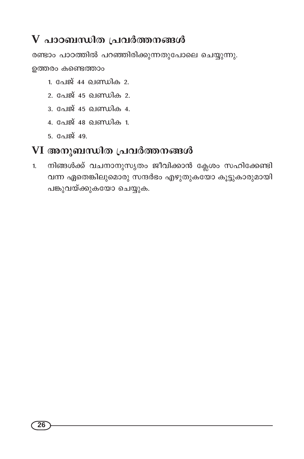# $\bf{V}$  പാഠബന്ധിത പ്രവർത്തനങ്ങൾ

രണ്ടാം പാഠത്തിൽ പറഞ്ഞിരിക്കുന്നതുപോലെ ചെയ്യുന്നു.

ഉത്തരം കണ്ടെത്താം

- 1. പേജ് 44 ഖണ്ഡിക 2.
- 2. പേജ് 45 ഖണ്ഡിക 2.
- 3. പേജ് 45 ഖണ്ഡിക 4.
- 4. പേജ് 48 ഖണ്ഡിക 1.
- $5.$  പേജ് 49.

## VI അനുബന്ധിത പ്രവർത്തനങ്ങൾ

നിങ്ങൾക്ക് വചനാനുസൃതം ജീവിക്കാൻ ക്ലേശം സഹിക്കേണ്ടി  $1.$ വന്ന ഏതെങ്കിലുമൊരു സന്ദർഭം എഴുതുകയോ കൂട്ടുകാരുമായി പങ്കുവയ്ക്കുകയോ ചെയ്യുക.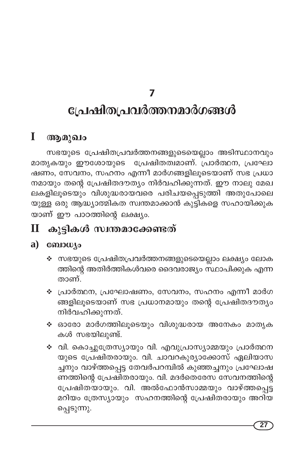# പ്രേഷിതപ്രവർത്തനമാർഗങ്ങൾ

#### T ആമൂഖം

സഭയുടെ പ്രേഷിതപ്രവർത്തനങ്ങളുടെയെല്ലാം അടിസ്ഥാനവും മാതൃകയും ഈശോയുടെ പ്രേഷിതത്വമാണ്. പ്രാർത്ഥന, പ്രഘോ ഷണം, സേവനം, സഹനം എന്നീ മാർഗങ്ങളിലൂടെയാണ് സഭ പ്രധാ നമായും തന്റെ പ്രേഷിതദൗത്യം നിർവഹിക്കുന്നത്. ഈ നാലു മേഖ ലകളിലൂടെയും വിശുദ്ധരായവരെ പരിചയപ്പെടുത്തി അതുപോലെ യുള്ള ഒരു ആദ്ധ്യാത്മികത സ്വന്തമാക്കാൻ കുട്ടികളെ സഹായിക്കുക യാണ് ഈ പാഠത്തിന്റെ ലക്ഷ്യം.

# $\mathbf H$  കൂട്ടികൾ സ്വന്തമാക്കേണ്ടത്

### $a)$  consumed as

- ❖ സഭയുടെ പ്രേഷിതപ്രവർത്തനങ്ങളുടെയെല്ലാം ലക്ഷ്യം ലോക ത്തിന്റെ അതിർത്തികൾവരെ ദൈവരാജ്യം സ്ഥാപിക്കുക എന്ന താണ്.
- ❖ പ്രാർത്ഥന, പ്രഘോഷണം, സേവനം, സഹനം എന്നീ മാർഗ ങ്ങളിലൂടെയാണ് സഭ പ്രധാനമായും തന്റെ പ്രേഷിതദൗത്യം നിർവഹിക്കുന്നത്.
- ∻ ഓരോ മാർഗത്തിലൂടെയും വിശുദ്ധരായ അനേകം മാതൃക കൾ സഭയിലുണ്ട്.
- ∻ വി. കൊച്ചുത്രേസ്യായും വി. എവുപ്രാസ്യാമ്മയും പ്രാർത്ഥന യുടെ പ്രേഷിതരായും. വി. ചാവറകുര്യാക്കോസ് ഏലിയാസ ചനും വാഴ്ത്തപ്പെട്ട തേവർപറമ്പിൽ കുഞ്ഞച്ചനും പ്രഘോഷ ണത്തിന്റെ പ്രേഷിതരായും. വി. മദർതെരേസ സേവനത്തിന്റെ പ്രേഷിതയായും. വി. അൽഫോൻസാമ്മയും വാഴ്ത്തപ്പെട്ട മറിയം ത്രേസ്യായും സഹനത്തിന്റെ പ്രേഷിതരായും അറിയ പ്പെടുന്നു.

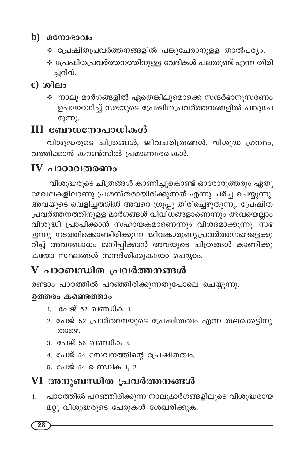## $\mathbf b$ ) മനോഭാവം

- ❖ പ്രേഷിതപ്രവർത്തനങ്ങളിൽ പങ്കുചേരാനുള്ള താൽപര്യം.
- ❖ പ്രേഷിതപ്രവർത്തനത്തിനുള്ള വേദികൾ പലതുണ്ട് എന്ന തിരി ച്ചറിവ്.

## $c)$  ശീലം

 $\hat{\bm{\cdot}}$  നാലു മാർഗങ്ങളിൽ ഏതെങ്കിലുമൊക്കെ സന്ദർഭാനുസരണം ഉപയോഗിച്ച് സഭയുടെ പ്രേഷിതപ്രവർത്തനങ്ങളിൽ പങ്കുചേ രുന്നു.

# III ബോധനോപാധികൾ

വിശുദ്ധരുടെ ചിത്രങ്ങൾ, ജീവചരിത്രങ്ങൾ, വിശുദ്ധ ഗ്രന്ഥം, വത്തിക്കാൻ കൗൺസിൽ പ്രമാണരേഖകൾ.

# $IV$  പാഠാവതരണം

വിശുദ്ധരുടെ ചിത്രങ്ങൾ കാണിച്ചുകൊണ്ട് ഓരോരുത്തരും ഏതു മേഖലകളിലാണു പ്രശസ്തരായിരിക്കുന്നത് എന്നു ചർച്ച ചെയ്യുന്നു. അവയുടെ വെളിച്ചത്തിൽ അവരെ ഗ്രൂപ്പു തിരിച്ചെഴുതുന്നു. പ്രേഷിത പ്രവർത്തനത്തിനുള്ള മാർഗങ്ങൾ വിവിധങ്ങളാണെന്നും അവയെല്ലാം വിശുദ്ധി പ്രാപിക്കാൻ സഹായകമാണെന്നും വിശദമാക്കുന്നു. സഭ ഇന്നു നടത്തിക്കൊണ്ടിരിക്കുന്ന ജീവകാരുണ്യപ്രവർത്തനങ്ങളെക്കു റിച്ച് അവബോധം ജനിപ്പിക്കാൻ അവയുടെ ചിത്രങ്ങൾ കാണിക്കു .<br>കയോ സ്ഥലങ്ങൾ സന്ദർശിക്കുകയോ ചെയ്യാം.

# $\bf{V}$  പാഠബന്ധിത പ്രവർത്തനങ്ങൾ

രണ്ടാം പാഠത്തിൽ പറഞ്ഞിരിക്കുന്നതുപോലെ ചെയ്യുന്നു.

#### ഉത്തരം കണ്ടെത്താം

- 1. പേജ് 52 ഖണ്ഡിക 1.
- 2. പേജ് 52 പ്രാർത്ഥനയുടെ പ്രേഷിതത്വം എന്ന തലക്കെട്ടിനു തായെ
- <u>3. പേജ് 56 ഖണ്ഡിക 3.</u>
- 4. പേജ് 54 സേവനത്തിന്റെ പ്രേഷിതത്വം.
- 5. പേജ് 54 ഖണ്ഡിക 1. 2.

# VI അനുബന്ധിത പ്രവർത്തനങ്ങൾ

പാഠത്തിൽ പറഞ്ഞിരിക്കുന്ന നാലുമാർഗങ്ങളിലൂടെ വിശുദ്ധരായ  $1.$ മറ്റു വിശുദ്ധരുടെ പേരുകൾ ശേഖരിക്കുക.

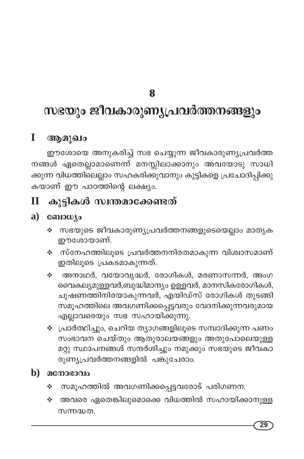# സഭയും ജീവകാരുണ്യപ്രവർത്തനങ്ങളും

#### I ആമുഖം

ഈശോയെ അനുകരിച്ച് സഭ ചെയ്യുന്ന ജീവകാരുണ്യപ്രവർത്ത നങ്ങൾ ഏതെല്ലാമാണെന്ന് മനസ്സിലാക്കാനും അവയോടു സാധി ക്കുന്ന വിധത്തിലെല്ലാം സഹകരിക്കുവാനും കുട്ടികളെ പ്രചോദിപ്പിക്കു കയാണ് ഈ പാഠത്തിന്റെ ലക്ഷ്യം.

#### കുട്ടികൾ സ്വന്തമാക്കേണ്ടത്  $\mathbf H$

### $a)$  comous

- ❖ സഭയുടെ ജീവകാരുണ്യപ്രവർത്തനങ്ങളുടെയെല്ലാം മാതൃക ഈശോയാണ്.
- ❖ സ്നേഹത്തിലൂടെ പ്രവർത്തനനിരതമാകുന്ന വിശ്വാസമാണ് ഇതിലൂടെ പ്രകടമാകുന്നത്.
- ∻ അനാഥർ, വയോവൃദ്ധർ, രോഗികൾ, മരണാസന്നർ, അംഗ വൈകല്യമുള്ളവർ,ബുദ്ധിമാന്ദ്യം ഉള്ളവർ, മാനസികരോഗികൾ, ചൂഷണത്തിനിരയാകുന്നവർ, എയിഡ്സ് രോഗികൾ തുടങ്ങി സമൂഹത്തിലെ അവഗണിക്കപ്പെട്ടവരും വേദനിക്കുന്നവരുമായ എല്ലാവരെയും സഭ സഹായിക്കുന്നു.
- ❖ പ്രാർത്ഥിച്ചും, ചെറിയ ത്യാഗങ്ങളിലൂടെ സമ്പാദിക്കുന്ന പണം സംഭാവന ചെയ്തും ആതുരാലയങ്ങളും അതുപോലെയുള്ള മറ്റു സ്ഥാപനങ്ങൾ സന്ദർശിച്ചും നമുക്കും സഭയുടെ ജീവകാ രുണ്യപ്രവർത്തനങ്ങളിൽ പങ്കുചേരാം.

### $\mathbf{b}$ )  $\mathbf{a}$  cmoso $\mathbf{a}$

- സമൂഹത്തിൽ അവഗണിക്കപ്പെട്ടവരോട് പരിഗണന. ❖
- അവരെ ഏതെങ്കിലുമൊക്കെ വിധത്തിൽ സഹായിക്കാനുള്ള A. സന്നദ്ധത.

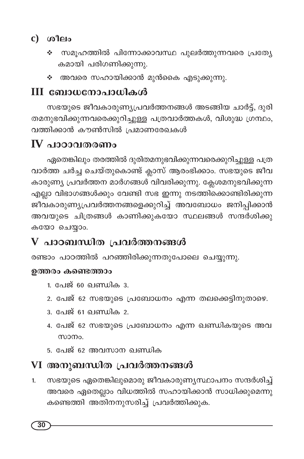## $c)$  ശീലം

- സമുഹത്തിൽ പിന്നോക്കാവസ്ഥ പുലർത്തുന്നവരെ പ്രത്യേ  $\mathbf{e}_{\mathbf{a}}^{\mathbf{e}}$ കമായി പരിഗണിക്കുന്നു.
- ❖ അവരെ സഹായിക്കാൻ മുൻകൈ എടുക്കുന്നു.

# III ബോധനോപാധികൾ

സഭയുടെ ജീവകാരുണ്യപ്രവർത്തനങ്ങൾ അടങ്ങിയ ചാർട്ട്, ദുരി തമനുഭവിക്കുന്നവരെക്കുറിച്ചുള്ള പത്രവാർത്തകൾ, വിശുദ്ധ ഗ്രന്ഥം, വത്തിക്കാൻ കൗൺസിൽ പ്രമാണരേഖകൾ

# $\bf{IV}$  പാഠാവതരണം

ഏതെങ്കിലും തരത്തിൽ ദുരിതമനുഭവിക്കുന്നവരെക്കുറിച്ചുള്ള പത്ര വാർത്ത ചർച്ച ചെയ്തുകൊണ്ട് ക്ലാസ് ആരംഭിക്കാം. സഭയുടെ ജീവ കാരുണ്യ പ്രവർത്തന മാർഗങ്ങൾ വിവരിക്കുന്നു. ക്ലേശമനുഭവിക്കുന്ന എല്ലാ വിഭാഗങ്ങൾക്കും വേണ്ടി സഭ ഇന്നു നടത്തിക്കൊണ്ടിരിക്കുന്ന ജീവകാരുണ്യപ്രവർത്തനങ്ങളെക്കുറിച്ച് അവബോധം ജനിപ്പിക്കാൻ അവയുടെ ചിത്രങ്ങൾ കാണിക്കുകയോ സ്ഥലങ്ങൾ സന്ദർശിക്കു കയോ ചെയ്യാം.

# ${\bf V}$  പാഠബന്ധിത പ്രവർത്തനങ്ങൾ

രണ്ടാം പാഠത്തിൽ പറഞ്ഞിരിക്കുന്നതുപോലെ ചെയ്യുന്നു.

#### ഉത്തരം കണ്ടെത്താം

- 1. പേജ് 60 ഖണ്ഡിക $\,$ 3.
- 2. പേജ് 62 സഭയുടെ പ്രബോധനം എന്ന തലക്കെട്ടിനുതാഴെ.
- <u>3. പേജ് 61 ലെസ്സിക 2.</u>
- 4. പേജ് 62 സഭയുടെ പ്രബോധനം എന്ന ഖണ്ഡികയുടെ അവ സാന്നം.
- 5. പേജ് 62 അവസാന ഖണ്ഡിക

# VI അനുബന്ധിത പ്രവർത്തനങ്ങൾ

സഭയുടെ ഏതെങ്കിലുമൊരു ജീവകാരുണ്യസ്ഥാപനം സന്ദർശിച്ച് 1. അവരെ ഏതെല്ലാം വിധത്തിൽ സഹായിക്കാൻ സാധിക്കുമെന്നു കണ്ടെത്തി അതിനനുസരിച്ച് പ്രവർത്തിക്കുക.

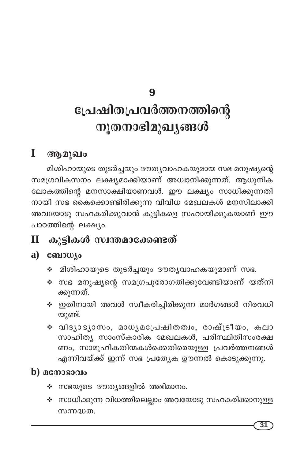# പ്രേഷിതപ്രവർത്തനത്തിന്റെ നൂതനാഭിമുഖ്യങ്ങൾ

#### I ആമുഖം

മിശിഹായുടെ തുടർച്ചയും ദൗതൃവാഹകയുമായ സഭ മനുഷ്യന്റെ സമഗ്രവികസനം ലക്ഷ്യമാക്കിയാണ് അധ്വാനിക്കുന്നത്. ആധുനിക ലോകത്തിന്റെ മനസാക്ഷിയാണവൾ. ഈ ലക്ഷ്യം സാധിക്കുന്നതി നായി സഭ കൈക്കൊണ്ടിരിക്കുന്ന വിവിധ മേഖലകൾ മനസിലാക്കി അവയോടു സഹകരിക്കുവാൻ കുട്ടികളെ സഹായിക്കുകയാണ് ഈ പാഠത്തിന്റെ ലക്ഷ്യം.

#### കൂട്ടികൾ സ്വന്തമാക്കേണ്ടത്  $\mathbf H$

## $a)$  consumed.

- ❖ മിശിഹായുടെ തുടർച്ചയും ദൗത്യവാഹകയുമാണ് സഭ.
- ∻ സഭ മനുഷ്യന്റെ സമഗ്രപുരോഗതിക്കുവേണ്ടിയാണ് യത്നി ക്കുന്നത്.
- $\div$  ഇതിനായി അവൾ സ്വീകരിച്ചിരിക്കുന്ന മാർഗങ്ങൾ നിരവധി യുണ്ട്.
- ∻ വിദൃാഭൃാസം, മാധൃമപ്രേഷിതത്വം, രാഷ്ട്രീയം, കലാ സാഹിത്യ സാംസ്കാരിക മേഖലകൾ, പരിസ്ഥിതിസംരക്ഷ ണം, സാമുഹികതിന്മകൾക്കെതിരെയുള്ള പ്രവർത്തനങ്ങൾ എന്നിവയ്ക്ക് ഇന്ന് സഭ പ്രത്യേക ഊന്നൽ കൊടുക്കുന്നു.

## $\bf{b)}$  മനോഭാവം

- $\boldsymbol{\dot{\cdot}}$  സഭയുടെ ദൗത്യങ്ങളിൽ അഭിമാനം.
- ❖ സാധിക്കുന്ന വിധത്തിലെല്ലാം അവയോടു സഹകരിക്കാനുള്ള സന്നദ്ധത.

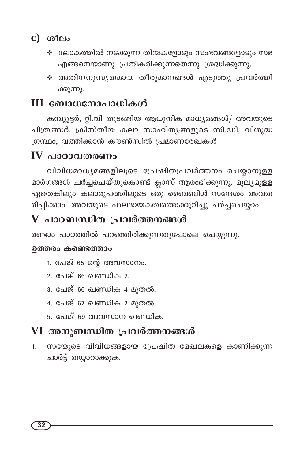## $c)$   $\omega$   $\omega$

- ❖ ലോകത്തിൽ നടക്കുന്ന തിന്മകളോടും സംഭവങ്ങളോടും സഭ എങ്ങനെയാണു പ്രതികരിക്കുന്നതെന്നു ശ്രദ്ധിക്കുന്നു.
- ∻ അതിനനുസൃതമായ തീരുമാനങ്ങൾ എടുത്തു പ്രവർത്തി ക്കുന്നു.

# III ബോധനോപാധികൾ

കമ്പ്യൂട്ടർ, റ്റി.വി തുടങ്ങിയ ആധുനിക മാധ്യമങ്ങൾ/ അവയുടെ ചിത്രങ്ങൾ, ക്രിസ്തീയ കലാ സാഹിതൃങ്ങളുടെ സി.ഡി, വിശുദ്ധ ഗ്രന്ഥം, വത്തിക്കാൻ കൗൺസിൽ പ്രമാണരേഖകൾ

# $IV$  പാഠാവതരണം

വിവിധമാധ്യമങ്ങളിലൂടെ പ്രേഷിതപ്രവർത്തനം ചെയ്യാനുള്ള മാർഗങ്ങൾ ചർച്ചചെയ്തുകൊണ്ട് ക്ലാസ് ആരംഭിക്കുന്നു. മൂല്യമുള്ള ഏതെങ്കിലും കലാരൂപത്തിലൂടെ ഒരു ബൈബിൾ സന്ദേശം അവത രിപ്പിക്കാം. അവയുടെ ഫലദായകത്വത്തെക്കുറിച്ചു ചർച്ചചെയ്യാം

# ${\bf V}$  പാഠബന്ധിത പ്രവർത്തനങ്ങൾ

രണ്ടാം പാഠത്തിൽ പറഞ്ഞിരിക്കുന്നതുപോലെ ചെയ്യുന്നു.

#### ഉത്തരം കണ്ടെത്താം

- 1. പേജ് 65 ന്റെ അവസാനം.
- 2. പേജ് 66 ഖണ്ഡിക 2.
- 3. പേജ് 66 ഖണ്ഡിക 4 മുതൽ.
- 4. പേജ് 67 ഖണ്ഡിക 2 മുതൽ.
- 5. പേജ് 69 അവസാന ഖണ്ഡിക.

# VI അനുബന്ധിത പ്രവർത്തനങ്ങൾ

സഭയുടെ വിവിധങ്ങളായ പ്രേഷിത മേഖലകളെ കാണിക്കുന്ന  $1.$ ചാർട്ട് തയ്യാറാക്കുക.

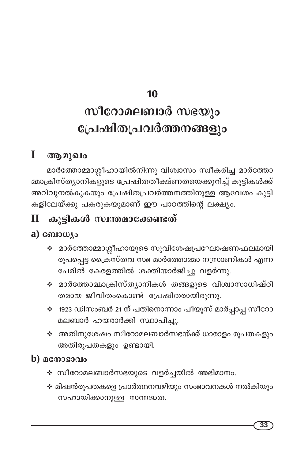# സീറോമലബാർ സഭയും പ്രേഷിതപ്രവർത്തനങ്ങളും

#### $\mathbf I$ ആമുഖം

മാർത്തോമ്മാശ്ലീഹായിൽനിന്നു വിശ്വാസം സ്ഥീകരിച്ച മാർത്തോ മ്മാക്രിസ്ത്യാനികളുടെ പ്രേഷിതതീക്ഷ്ണതയെക്കുറിച്ച് കുട്ടികൾക്ക് അറിവുനൽകുകയും പ്രേഷിതപ്രവർത്തനത്തിനുള്ള ആവേശം കുട്ടി കളിലേയ്ക്കു പകരുകയുമാണ് ഈ പാഠത്തിന്റെ ലക്ഷ്യ<mark>ം</mark>.

#### കൂട്ടികൾ സ്വന്തമാക്കേണ്ടത്  $\mathbf{I}$

## $a)$  consulto

- ∻ മാർത്തോമ്മാശ്ലീഹായുടെ സുവിശേഷപ്രഘോഷണഫലമായി രൂപപ്പെട്ട ക്രൈസ്തവ സഭ മാർത്തോമ്മാ നസ്രാണികൾ എന്ന പേരിൽ കേരളത്തിൽ ശക്തിയാർജിച്ചു വളർന്നു.
- ❖ മാർത്തോമ്മാക്രിസ്ത്യാനികൾ തങ്ങളുടെ വിശ്വാസാധിഷ്ഠി തമായ ജീവിതംകൊണ്ട് പ്രേഷിതരായിരുന്നു.
- ❖ 1923 ഡിസംബർ 21 ന് പതിനൊന്നാം പീയൂസ് മാർപ്പാപ്പ സീറോ മലബാർ ഹയരാർക്കി സ്ഥാപിച്ചു.
- ❖ അതിനുശേഷം സീറോമലബാർസഭയ്ക്ക് ധാരാളം രൂപതകളും അതിരൂപതകളും ഉണ്ടായി.

### $\bf{b)}$  മനോഭാവം

- ∻ സീറോമലബാർസഭയുടെ വളർച്ചയിൽ അഭിമാനം.
- ❖ മിഷൻരൂപതകളെ പ്രാർത്ഥനവഴിയും സംഭാവനകൾ നൽകിയും സഹായിക്കാനുള്ള സന്നദ്ധത.

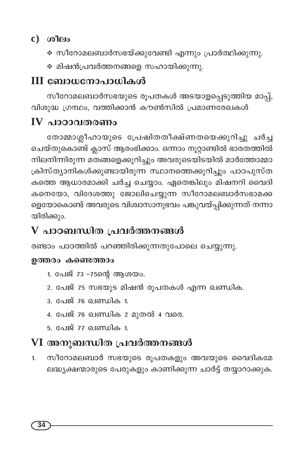## $c)$   $\omega$   $\omega$

- ❖ സീറോമലബാർസഭയ്ക്കുവേണ്ടി എന്നും പ്രാർത്ഥിക്കുന്നു.
- ∻ മിഷൻപ്രവർത്തനങ്ങളെ സഹായിക്കുന്നു.

# III ബോധനോപാധികൾ

സീറോമലബാർസഭയുടെ രൂപതകൾ അടയാളപ്പെടുത്തിയ മാപ്പ്, വിശുദ്ധ ഗ്രന്ഥം, വത്തിക്കാൻ കൗൺസിൽ പ്രമാണരേഖകൾ

# $IV$  പാഠാവതരണം

തോമ്മാശ്ലീഹായുടെ പ്രേഷിതതീക്ഷ്ണതയെക്കുറിച്ചു ചർച്ച ചെയ്തുകൊണ്ട് ക്ലാസ് ആരംഭിക്കാം. ഒന്നാം നൂറ്റാണ്ടിൽ ഭാരതത്തിൽ .<br>നിലനിന്നിരുന്ന മതങ്ങളെക്കുറിച്ചും അവരുടെയിടയിൽ മാർത്തോമ്മാ ക്രിസ്ത്യാനികൾക്കുണ്ടായിരുന്ന സ്ഥാനത്തെക്കുറിച്ചും പാഠപുസ്ത കത്തെ ആധാരമാക്കി ചർച്ച ചെയ്യാം. ഏതെങ്കിലും മിഷനറി വൈദി കനെയോ, വിദേശത്തു ജോലിചെയ്യുന്ന സീറോമലബാർസഭാമക്ക ളെയോകൊണ്ട് അവരുടെ വിശ്വാസാനുഭവം പങ്കുവയ്പ്പിക്കുന്നത് നന്നാ യിരിക്കും.

# $V$  പാഠബന്ധിത പ്രവർത്തനങ്ങൾ

രണ്ടാം പാഠത്തിൽ പറഞ്ഞിരിക്കുന്നതുപോലെ ചെയ്യുന്നു.

#### ഉത്തരം കണ്ടെത്താം

- 1. പേജ് 73 -75ന്റെ ആശയം.
- 2. പേജ് 75 സഭയുട മിഷൻ രൂപതകൾ എന്ന ഖണ്ഡിക.
- 3. പേജ് 76 ഖണ്ഡിക 1.
- 4. പേജ് 76 ഖണ്ഡിക 2 മുതൽ 4 വരെ.
- 5. പേജ് 77 ഖണ്ഡിക 1.

# VI അനുബന്ധിത പ്രവർത്തനങ്ങൾ

സീറോമലബാർ സഭയുടെ രൂപതകളും അവയുടെ വൈദികമേ 1. ലദ്ധ്യക്ഷന്മാരുടെ പേരുകളും കാണിക്കുന്ന ചാർട്ട് തയ്യാറാക്കുക.

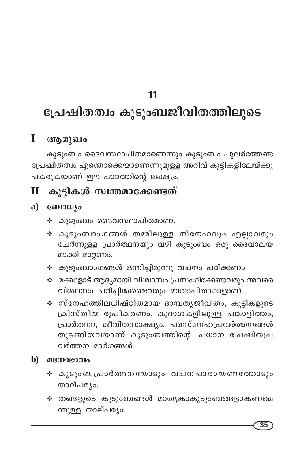# പ്രേഷിതത്വം കുടുംബജീവിതത്തിലൂടെ

#### $\mathbf I$ ആമുഖം

കുടുംബം ദൈവസ്ഥാപിതമാണെന്നും കുടുംബം പുലർത്തേണ്ട പ്രേഷിതത്വം എന്തൊക്കെയാണെന്നുമുള്ള അറിവ് കുട്ടികളിലേയ്ക്കു പകരുകയാണ് ഈ പാഠത്തിന്റെ ലക്ഷ്യം.

#### കുട്ടികൾ സ്വന്തമാക്കേണ്ടത്  $\mathbf{I}$

#### $a)$ conjouso

- ∻ കുടുംബം ദൈവസ്ഥാപിതമാണ്.
- ❖ കുടുംബാംഗങ്ങൾ തമ്മിലുള്ള സ്നേഹവും എല്ലാവരും ചേർന്നുള്ള പ്രാർത്ഥനയും വഴി കുടുംബം ഒരു ദൈവാലയ മാക്കി മാറ്റണം.
- ❖ കുടുംബാംഗങ്ങൾ ഒന്നിച്ചിരുന്നു വചനം പഠിക്കണം.
- ❖ മക്കളോട് ആദ്യമായി വിശ്വാസം പ്രസംഗിക്കേണ്ടവരും അവരെ വിശ്വാസം പഠിപ്പിക്കേണ്ടവരും മാതാപിതാക്കളാണ്.
- ❖ സ്നേഹത്തിലധിഷ്ഠിതമായ ദാമ്പതൃജീവിതം, കുട്ടികളുടെ ക്രിസ്തീയ രൂപീകരണം, കൂദാശകളിലുള്ള പങ്കാളിത്തം, പ്രാർത്ഥന, ജീവിതസാക്ഷ്യം, പരസ്നേഹപ്രവർത്തനങ്ങൾ തുടങ്ങിയവയാണ് കുടുംബത്തിന്റെ പ്രധാന പ്രേഷിതപ്ര വർത്തന മാർഗങ്ങൾ.
- b) മനോഭാവം
	- ❖ കുടുംബപ്രാർത്ഥനയോടും വചനപാരായണത്തോടും താല്പര്യം.
	- ❖ തങ്ങളുടെ കുടുംബങ്ങൾ മാതൃകാകുടുംബങ്ങളാകണമെ ന്നുള്ള താല്പര്യം.

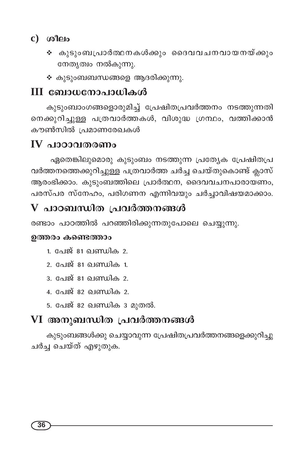## $c)$   $\omega$   $\omega$

- ∻ കുടുംബപ്രാർത്ഥനകൾക്കും ദൈവവചനവായനയ്ക്കും നേതൃത്വം നൽകുന്നു.
- $\boldsymbol{\cdot}$  കൂടുംബബന്ധങ്ങളെ ആദരിക്കുന്നു.

## III ബോധനോപാധികൾ

കുടുംബാംഗങ്ങളൊരുമിച്ച് പ്രേഷിതപ്രവർത്തനം നടത്തുന്നതി നെക്കുറിച്ചുള്ള പത്രവാർത്തകൾ, വിശുദ്ധ ഗ്രന്ഥം, വത്തിക്കാൻ കൗൺസിൽ പ്രമാണരേഖകൾ

## $IV$  പാഠാവതരണം

ഏതെങ്കിലുമൊരു കുടുംബം നടത്തുന്ന പ്രത്യേക പ്രേഷിതപ്ര വർത്തനത്തെക്കുറിച്ചുള്ള പത്രവാർത്ത ചർച്ച ചെയ്തുകൊണ്ട് ക്ലാസ് .<br>ആരംഭിക്കാം. കുടുംബത്തിലെ പ്രാർത്ഥന, ദൈവവചനപാരായണം, പരസ്പര സ്നേഹം, പരിഗണന എന്നിവയും ചർച്ചാവിഷയമാക്കാം.

# $V$  പാഠബന്ധിത പ്രവർത്തനങ്ങൾ

രണ്ടാം പാഠത്തിൽ പറഞ്ഞിരിക്കുന്നതുപോലെ ചെയ്യുന്നു.

#### ഉത്തരം കണ്ടെത്താം

- 1. പേജ് 81 ഖണ്ഡിക 2.
- <u>2. പേജ് 81 ഖണ്ഡിക 1.</u>
- 3. പേജ് 81 <u>ബെറിക</u>ാ.
- 4. പേജ് 82 ഖണ്ഡിക 2.
- 5. പേജ് 82 ഖണ്ഡിക 3 മുതൽ.

# VI അനുബന്ധിത പ്രവർത്തനങ്ങൾ

കുടുംബങ്ങൾക്കു ചെയ്യാവുന്ന പ്രേഷിതപ്രവർത്തനങ്ങളെക്കുറിച്ചു ചർച്ച ചെയ്ത് എഴുതുക.

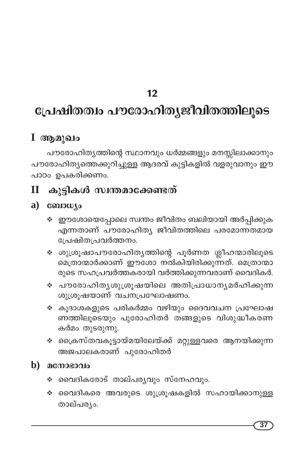# പ്രേഷിതത്വം പൗരോഹിതൃജീവിതത്തിലൂടെ

## $I$  ആമുഖം

പൗരോഹിതൃത്തിന്റെ സ്ഥാനവും ധർമ്മങ്ങളും മനസ്സിലാക്കാനും പൗരോഹിത്യത്തെക്കുറിച്ചുള്ള ആദരവ് കുട്ടികളിൽ വളരുവാനും ഈ പാഠം ഉപകരിക്കണം.

#### കൂട്ടികൾ സ്വന്തമാക്കേണ്ടത്  $\overline{\mathbf{H}}$

#### a) consource

- ❖ ഈശോയെപ്പോലെ സ്വന്തം ജീവിതം ബലിയായി അർപ്പിക്കുക എന്നതാണ് പൗരോഹിത്യ ജീവിതത്തിലെ പരമോന്നതമായ പ്രേഷിതപ്രവർത്തനം.
- ∻ ശുശ്രൂഷാപൗരോഹിത്യത്തിന്റെ പൂർണത ശ്ലീഹന്മാരിലൂടെ മെത്രാന്മാർക്കാണ് ഈശോ നൽകിയിരിക്കുന്നത്. മെത്രാന്മാ രുടെ സഹപ്രവർത്തകരായി വർത്തിക്കുന്നവരാണ് വൈദികർ.
- ∻ പൗരോഹിതൃശുശ്രൂഷയിലെ അതിപ്രാധാനൃമർഹിക്കുന്ന ശുശ്രുഷയാണ് വചനപ്രഘോഷണം.
- ❖ കൂദാശകളുടെ പരികർമ്മം വഴിയും ദൈവവചന പ്രഘോഷ ണത്തിലൂടെയും പുരോഹിതർ തങ്ങളുടെ വിശുദ്ധീകരണ കർമം തുടരുന്നു.
- ∻ ക്രൈസ്തവകൂട്ടായ്മയിലേയ്ക്ക് മറ്റുള്ളവരെ ആനയിക്കുന്ന അജപാലകരാണ് പുരോഹിതർ

#### $\mathbf b)$  മനോഭാവം

- ❖ വൈദികരോട് താല്പര്യവും സ്നേഹവും.
- ∻ വൈദികരെ അവരുടെ ശുശ്രൂഷകളിൽ സഹായിക്കാനുള്ള താല്പര്യം.

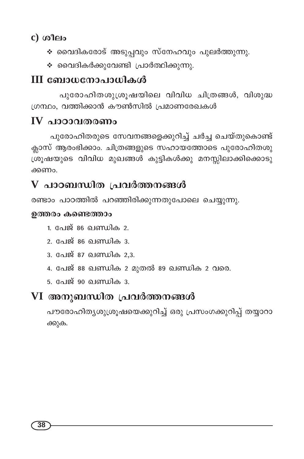## c) ശീലം

- ❖ വൈദികരോട് അടുപ്പവും സ്നേഹവും പുലർത്തുന്നു.
- $\cdot$  വൈദികർക്കുവേണ്ടി പ്രാർത്ഥിക്കുന്നു.

# III ബോധനോപാധികൾ

പൂരോഹിതശുശ്രൂഷയിലെ വിവിധ ചിത്രങ്ങൾ, വിശുദ്ധ ഗ്രന്ഥം, വത്തിക്കാൻ കൗൺസിൽ പ്രമാണരേഖകൾ

# $\bf{IV}$  പാഠാവതരണം

പുരോഹിതരുടെ സേവനങ്ങളെക്കുറിച്ച് ചർച്ച ചെയ്തുകൊണ്ട് ക്ലാസ് ആരംഭിക്കാം. ചിത്രങ്ങളുടെ സഹായത്തോടെ പുരോഹിതശു ശ്രൂഷയുടെ വിവിധ മുഖങ്ങൾ കുട്ടികൾക്കു മനസ്സിലാക്കിക്കൊടു ക്കണപ

# $V$  പാഠബന്ധിത പ്രവർത്തനങ്ങൾ

രണ്ടാം പാഠത്തിൽ പറഞ്ഞിരിക്കുന്നതുപോലെ ചെയ്യുന്നു.

#### ഉത്തരം കണ്ടെത്താം

- 1. പേജ് 86 ഖണ്ഡിക 2.
- 2. പേജ് 86 ഖണ്ഡിക 3.
- 3. പേജ് 87 ഖണ്ഡിക 2.3.
- 4. പേജ് 88 ഖണ്ഡിക 2 മുതൽ 89 ഖണ്ഡിക 2 വരെ.
- 5. പേജ് 90 ഖണ്ഡിക 3.

# VI അനുബന്ധിത പ്രവർത്തനങ്ങൾ

പൗരോഹിത്യശുശൂഷയെക്കുറിച്ച് ഒരു പ്രസംഗക്കുറിപ്പ് തയ്യാറാ ക്കുക.

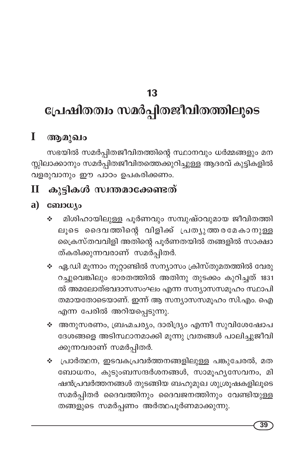# പ്രേഷിതത്വം സമർപ്പിതജീവിതത്തിലൂടെ

#### T ആമുഖം

സഭയിൽ സമർപ്പിതജീവിതത്തിന്റെ സ്ഥാനവും ധർമ്മങ്ങളും മന സ്സിലാക്കാനും സമർപ്പിതജീവിതത്തെക്കുറിച്ചുള്ള ആദരവ് കുട്ടികളിൽ വളരുവാനും ഈ പാഠം ഉപകരിക്കണം.

#### കുട്ടികൾ സ്വന്തമാക്കേണ്ടത്  $\overline{\mathbf{u}}$

## a)  $\cos\omega$

- മിശിഹായിലുള്ള പൂർണവും സമ്പുഷ്ഠവുമായ ജീവിതത്തി **经** ലൂടെ ദൈവത്തിന്റെ വിളിക്ക് പ്രത്യുത്തരമേകാനുള്ള ക്രൈസ്തവവിളി അതിന്റെ പൂർണതയിൽ തങ്ങളിൽ സാക്ഷാ ത്കരിക്കുന്നവരാണ് സമർപ്പിതർ.
- ❖ ഏ.ഡി മൂന്നാം നൂറ്റാണ്ടിൽ സന്യാസം ക്രിസ്തുമതത്തിൽ വേരു റച്ചുവെങ്കിലും ഭാരതത്തിൽ അതിനു തുടക്കം കുറിച്ചത് 1831 ൽ അമലോത്ഭവദാസസംഘം എന്ന സന്യാസസമൂഹം സ്ഥാപി തമായതോടെയാണ്. ഇന്ന് ആ സന്യാസസമൂഹം സി.എം. ഐ എന്ന പേരിൽ അറിയപ്പെടുന്നു.
- ❖ അനുസരണം, ബ്രഹ്മചര്യം, ദാരിദ്ര്യം എന്നീ സുവിശേഷോപ ദേശങ്ങളെ അടിസ്ഥാനമാക്കി മൂന്നു വ്രതങ്ങൾ പാലിച്ചുജീവി ക്കുന്നവരാണ് സമർപ്പിതർ.
- ∻ പ്രാർത്ഥന, ഇടവകപ്രവർത്തനങ്ങളിലുള്ള പങ്കുചേരൽ, മത ബോധനം, കുടുംബസന്ദർശനങ്ങൾ, സാമൂഹൃസേവനം, മി ഷൻപ്രവർത്തനങ്ങൾ തുടങ്ങിയ ബഹുമുഖ ശുശ്രൂഷകളിലൂടെ സമർപ്പിതർ ദൈവത്തിനും ദൈവജനത്തിനും വേണ്ടിയുള്ള തങ്ങളുടെ സമർപ്പണം അർത്ഥപൂർണമാക്കുന്നു.

39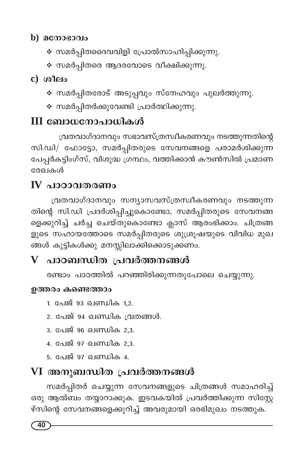### b)  $\alpha$ നോഭാവം

- ∻ സമർപ്പിതദൈവവിളി പ്രോൽസാഹിപ്പിക്കുന്നു.
- ∻ സമർപ്പിതരെ ആദരവോടെ വീക്ഷിക്കുന്നു.

 $c)$  ( $o$ <sup>1</sup> $e$ <sup>1</sup> $o$ 

- ❖ സമർപ്പിതരോട് അടുപ്പവും സ്നേഹവും പുലർത്തുന്നു.
- ∻ സമർപ്പിതർക്കുവേണ്ടി പ്രാർത്ഥിക്കുന്നു.

# III ബോധനോപാധികൾ

വ്രതവാഗ്ദാനവും സഭാവസ്ത്രസ്വീകരണവും നടത്തുന്നതിന്റെ സി.ഡി/ ഫോട്ടോ, സമർപ്പിതരുടെ സേവനങ്ങളെ പരാമർശിക്കുന്ന പേപ്പർകട്ടിംഗ്സ്, വിശുദ്ധ ഗ്രന്ഥം, വത്തിക്കാൻ കൗൺസിൽ പ്രമാണ രേഖകൾ

# $\bf{IV}$  പാഠാവതരണം

വ്രതവാഗ്ദാനവും സന്യാസവസ്ത്രസ്വീകരണവും നടത്തുന്ന തിന്റെ സി.ഡി പ്രദർശിപ്പിച്ചുകൊണ്ടോ, സമർപ്പിതരുടെ സേവനങ്ങ ളെക്കുറിച്ച് ചർച്ച ചെയ്തുകൊണ്ടോ ക്ലാസ് ആരംഭിക്കാം. ചിത്രങ്ങ ളുടെ സഹായത്തോടെ സമർപ്പിതരുടെ ശുശ്രൂഷയുടെ വിവിധ മുഖ ങ്ങൾ കുട്ടികൾക്കു മനസ്സിലാക്കിക്കൊടുക്കണം.

# $\overline{V}$  പാഠബന്ധിത പ്രവർത്തനങ്ങൾ

രണ്ടാം പാഠത്തിൽ പറഞ്ഞിരിക്കുന്നതുപോലെ ചെയ്യുന്നു.

### ഉത്തരം കണ്ടെത്താം

- 1. പേജ് 93 ഖണ്ഡിക 1,2.
- 2. പേജ് 94 ഖണ്ഡിക വ്രതങ്ങൾ.
- 3. പേജ് 96 ഖണ്ഡിക 2.3.
- 4. പേജ് 97 ഖണ്ഡിക 2,3.
- 5. പേജ് 97 ഖണ്ഡിക 4.

# VI അനുബന്ധിത പ്രവർത്തനങ്ങൾ

സമർപ്പിതർ ചെയ്യുന്ന സേവനങ്ങളുടെ ചിത്രങ്ങൾ സമാഹരിച്ച് ഒരു ആൽബം തയ്യാറാക്കുക. ഇടവകയിൽ പ്രവർത്തിക്കുന്ന സിസ്റ്റേ .<br>ഴ്സിന്റെ സേവനങ്ങളെക്കുറിച്ച് അവരുമായി ഒരഭിമുഖം നടത്തുക.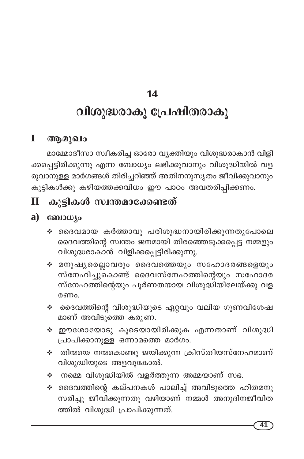# വിശുദ്ധരാകൂ പ്രേഷിതരാകൂ

#### L ആമുഖം

മാമ്മോദീസാ സ്വീകരിച്ച ഓരോ വ്യക്തിയും വിശുദ്ധരാകാൻ വിളി ക്കപ്പെട്ടിരിക്കുന്നു എന്ന ബോധ്യം ലഭിക്കുവാനും വിശുദ്ധിയിൽ വള രുവാനുള്ള മാർഗങ്ങൾ തിരിച്ചറിഞ്ഞ് അതിനനുസൃതം ജീവിക്കുവാനും കുട്ടികൾക്കു കഴിയത്തക്കവിധം ഈ പാഠം അവതരിപ്പിക്കണം.

#### കുട്ടികൾ സ്വന്തമാക്കേണ്ടത്  $\mathbf H$

#### a) ബോധ്യം

- ∻ ദൈവമായ കർത്താവു പരിശുദ്ധനായിരിക്കുന്നതുപോലെ ദൈവത്തിന്റെ സ്വന്തം ജനമായി തിരഞ്ഞെടുക്കപ്പെട്ട നമ്മളും വിശുദ്ധരാകാൻ വിളിക്കപ്പെട്ടിരിക്കുന്നു.
- ∻ മനുഷൃരെല്ലാവരും ദൈവത്തെയും സഹോദരങ്ങളെയും സ്നേഹിച്ചുകൊണ്ട് ദൈവസ്നേഹത്തിന്റെയും സഹോദര സ്നേഹത്തിന്റെയും പൂർണതയായ വിശുദ്ധിയിലേയ്ക്കു വള രണം.
- ∻ ദൈവത്തിന്റെ വിശുദ്ധിയുടെ ഏറ്റവും വലിയ ഗുണവിശേഷ മാണ് അവിടുത്തെ കരുണ.
- ❖ ഈശോയോടു കൂടെയായിരിക്കുക എന്നതാണ് വിശുദ്ധി പ്രാപിക്കാനുള്ള ഒന്നാമത്തെ മാർഗം.
- ❖ തിന്മയെ നന്മകൊണ്ടു ജയിക്കുന്ന ക്രിസ്തീയസ്നേഹമാണ് വിശുദ്ധിയുടെ അളവുകോൽ.
- $\boldsymbol{\dot{\ast}}$  നമ്മെ വിശുദ്ധിയിൽ വളർത്തുന്ന അമ്മയാണ് സഭ.
- ∻ ദൈവത്തിന്റെ കല്പനകൾ പാലിച്ച് അവിടുത്തെ ഹിതമനു സരിച്ചു ജീവിക്കുന്നതു വഴിയാണ് നമ്മൾ അനുദിനജീവിത ത്തിൽ വിശുദ്ധി പ്രാപിക്കുന്നത്.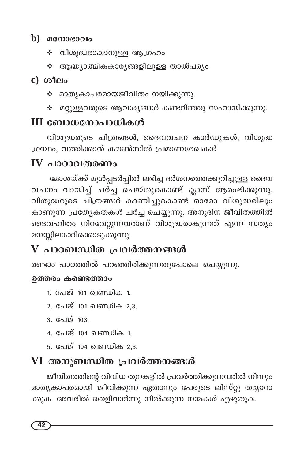### $\mathbf b$ ) മനോഭാവം

- ∻ വിശുദ്ധരാകാനുള്ള ആഗ്രഹം
- ❖ ആദ്ധ്യാത്മികകാര്യങ്ങളിലുള്ള താൽപര്യം

### $c)$  ( $a$ <sup>1 $\alpha$ 1 $\alpha$ </sup>

- മാതൃകാപരമായജീവിതം നയിക്കുന്നു. **Section**
- ❖ മറ്റുള്ളവരുടെ ആവശ്യങ്ങൾ കണ്ടറിഞ്ഞു സഹായിക്കുന്നു.

# III ബോധനോപാധികൾ

വിശുദ്ധരുടെ ചിത്രങ്ങൾ, ദൈവവചന കാർഡുകൾ, വിശുദ്ധ ഗ്രന്ഥം, വത്തിക്കാൻ കൗൺസിൽ പ്രമാണരേഖകൾ

# $IV$  പാഠാവതരണം

മോശയ്ക്ക് മുൾപ്പടർപ്പിൽ ലഭിച്ച ദർശനത്തെക്കുറിച്ചുള്ള ദൈവ വചനം വായിച്ച് ചർച്ച ചെയ്തുകൊണ്ട് ക്ലാസ് ആരംഭിക്കുന്നു. വിശുദ്ധരുടെ ചിത്രങ്ങൾ കാണിച്ചുകൊണ്ട് ഓരോ വിശുദ്ധരിലും കാണുന്ന പ്രത്യേകതകൾ ചർച്ച ചെയ്യുന്നു. അനുദിന ജീവിതത്തിൽ ദൈവഹിതം നിറവേറ്റുന്നവരാണ് വിശുദ്ധരാകുന്നത് എന്ന സത്യം മനസ്സിലാക്കിക്കൊടുക്കുന്നു.

# $\overline{V}$  പാഠബന്ധിത പ്രവർത്തനങ്ങൾ

രണ്ടാം പാഠത്തിൽ പറഞ്ഞിരിക്കുന്നതുപോലെ ചെയ്യുന്നു.

#### ഉത്തരം കണ്ടെത്താം

- 1. പേജ് 101 ഖണ്ഡിക 1.
- 2. പേജ് 101 ഖണ്ഡിക 2,3.
- 3. പേജ് 103.
- 4. പേജ് 104 ഖണ്ഡിക 1.
- 5. പേജ് 104 ഖണ്ഡിക 2,3.

# VI അനുബന്ധിത പ്രവർത്തനങ്ങൾ

ജീവിതത്തിന്റെ വിവിധ തുറകളിൽ പ്രവർത്തിക്കുന്നവരിൽ നിന്നും മാതൃകാപരമായി ജീവിക്കുന്ന ഏതാനും പേരുടെ ലിസ്റ്റു തയ്യാറാ ക്കുക. അവരിൽ തെളിവാർന്നു നിൽക്കുന്ന നന്മകൾ എഴുതുക.

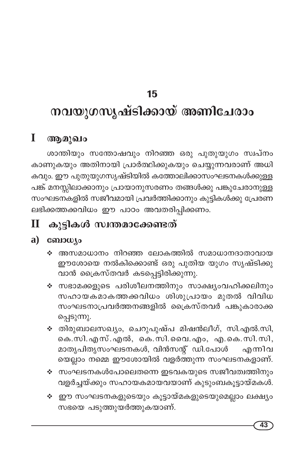# നവയുഗസൃഷ്ടിക്കായ് അണിചേരാം

# $I$  ആമുഖം

ശാന്തിയും സന്തോഷവും നിറഞ്ഞ ഒരു പുതുയുഗം സ്വപ്നം കാണുകയും അതിനായി പ്രാർത്ഥിക്കുകയും ചെയ്യുന്നവരാണ് <mark>അധി</mark> കവും. ഈ പുതുയുഗസൃഷ്ടിയിൽ കത്തോലിക്കാസംഘടനകൾക്കുള്ള പങ്ക് മനസ്സിലാക്കാനും പ്രായാനുസരണം തങ്ങൾക്കു പങ്കുചേരാനുള്ള ....<br>സംഘടനകളിൽ സജീവമായി പ്രവർത്തിക്കാനും കുട്ടികൾക്കു പ്രേരണ ലഭിക്കത്തക്കവിധം ഈ പാഠം അവതരിപ്പിക്കണം.

#### കുട്ടികൾ സ്വന്തമാക്കേണ്ടത്  $\bf{I}\bf{I}$

## $a)$  comous

- ∻ അസമാധാനം നിറഞ്ഞ ലോകത്തിൽ സമാധാനദാതാവായ ഈശോയെ നൽകിക്കൊണ്ട് ഒരു പുതിയ യുഗം സൃഷ്ടിക്കു വാൻ ക്രൈസ്തവർ കടപ്പെട്ടിരിക്കുന്നു.
- ∻ സഭാമക്കളുടെ പരിശീലനത്തിനും സാക്ഷ്യംവഹിക്കലിനും സഹായകമാകത്തക്കവിധം ശിശുപ്രായം മുതൽ വിവിധ സംഘടനാപ്രവർത്തനങ്ങളിൽ ക്രൈസ്തവർ പങ്കുകാരാക്ക പ്പെടുന്നു.
- ❖ തിരുബാലസഖ്യം, ചെറുപുഷ്പ മിഷൻലീഗ്, സി.എൽ.സി, കെ.സി.എസ്.എൽ, കെ.സി.വൈ.എം, എ.കെ.സി.സി, മാതൃപിതൃസംഘടനകൾ, വിൻസന്റ് ഡി.പോൾ എന്നിവ യെല്ലാം നമ്മെ ഈശോയിൽ വളർത്തുന്ന സംഘടനകളാണ്.
- ❖ സംഘടനകൾപോലെതന്നെ ഇടവകയുടെ സജീവത്വത്തിനും വളർച്ചയ്ക്കും സഹായകമായവയാണ് കുടുംബകൂട്ടായ്മകൾ.
- ❖ ഈ സംഘടനകളുടെയും കൂട്ടായ്മകളുടെയുമെല്ലാം ലക്ഷ്യം സഭയെ പടുത്തുയർത്തുകയാണ്.